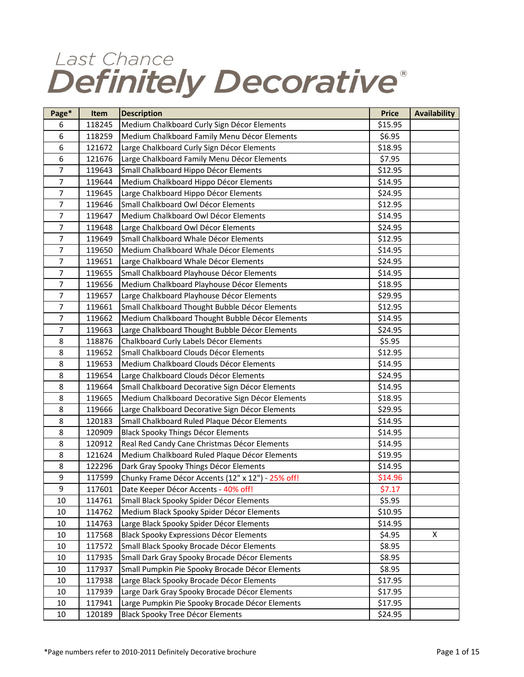## Last Chance Definitely Decorative®

| Page*          | Item   | <b>Description</b>                                | <b>Price</b> | <b>Availability</b> |
|----------------|--------|---------------------------------------------------|--------------|---------------------|
| 6              | 118245 | Medium Chalkboard Curly Sign Décor Elements       | \$15.95      |                     |
| 6              | 118259 | Medium Chalkboard Family Menu Décor Elements      | \$6.95       |                     |
| 6              | 121672 | Large Chalkboard Curly Sign Décor Elements        | \$18.95      |                     |
| 6              | 121676 | Large Chalkboard Family Menu Décor Elements       | \$7.95       |                     |
| 7              | 119643 | Small Chalkboard Hippo Décor Elements             | \$12.95      |                     |
| 7              | 119644 | Medium Chalkboard Hippo Décor Elements            | \$14.95      |                     |
| 7              | 119645 | Large Chalkboard Hippo Décor Elements             | \$24.95      |                     |
| $\overline{7}$ | 119646 | Small Chalkboard Owl Décor Elements               | \$12.95      |                     |
| 7              | 119647 | Medium Chalkboard Owl Décor Elements              | \$14.95      |                     |
| 7              | 119648 | Large Chalkboard Owl Décor Elements               | \$24.95      |                     |
| 7              | 119649 | Small Chalkboard Whale Décor Elements             | \$12.95      |                     |
| $\overline{7}$ | 119650 | Medium Chalkboard Whale Décor Elements            | \$14.95      |                     |
| $\overline{7}$ | 119651 | Large Chalkboard Whale Décor Elements             | \$24.95      |                     |
| 7              | 119655 | Small Chalkboard Playhouse Décor Elements         | \$14.95      |                     |
| $\overline{7}$ | 119656 | Medium Chalkboard Playhouse Décor Elements        | \$18.95      |                     |
| 7              | 119657 | Large Chalkboard Playhouse Décor Elements         | \$29.95      |                     |
| $\overline{7}$ | 119661 | Small Chalkboard Thought Bubble Décor Elements    | \$12.95      |                     |
| 7              | 119662 | Medium Chalkboard Thought Bubble Décor Elements   | \$14.95      |                     |
| $\overline{7}$ | 119663 | Large Chalkboard Thought Bubble Décor Elements    | \$24.95      |                     |
| 8              | 118876 | Chalkboard Curly Labels Décor Elements            | \$5.95       |                     |
| 8              | 119652 | Small Chalkboard Clouds Décor Elements            | \$12.95      |                     |
| 8              | 119653 | Medium Chalkboard Clouds Décor Elements           | \$14.95      |                     |
| 8              | 119654 | Large Chalkboard Clouds Décor Elements            | \$24.95      |                     |
| 8              | 119664 | Small Chalkboard Decorative Sign Décor Elements   | \$14.95      |                     |
| 8              | 119665 | Medium Chalkboard Decorative Sign Décor Elements  | \$18.95      |                     |
| 8              | 119666 | Large Chalkboard Decorative Sign Décor Elements   | \$29.95      |                     |
| 8              | 120183 | Small Chalkboard Ruled Plaque Décor Elements      | \$14.95      |                     |
| 8              | 120909 | Black Spooky Things Décor Elements                | \$14.95      |                     |
| 8              | 120912 | Real Red Candy Cane Christmas Décor Elements      | \$14.95      |                     |
| 8              | 121624 | Medium Chalkboard Ruled Plaque Décor Elements     | \$19.95      |                     |
| 8              | 122296 | Dark Gray Spooky Things Décor Elements            | \$14.95      |                     |
| 9              | 117599 | Chunky Frame Décor Accents (12" x 12") - 25% off! | \$14.96      |                     |
| 9              | 117601 | Date Keeper Décor Accents - 40% off!              | \$7.17       |                     |
| 10             | 114761 | Small Black Spooky Spider Décor Elements          | \$5.95       |                     |
| 10             | 114762 | Medium Black Spooky Spider Décor Elements         | \$10.95      |                     |
| 10             | 114763 | Large Black Spooky Spider Décor Elements          | \$14.95      |                     |
| $10\,$         | 117568 | Black Spooky Expressions Décor Elements           | \$4.95       | Χ                   |
| 10             | 117572 | Small Black Spooky Brocade Décor Elements         | \$8.95       |                     |
| 10             | 117935 | Small Dark Gray Spooky Brocade Décor Elements     | \$8.95       |                     |
| 10             | 117937 | Small Pumpkin Pie Spooky Brocade Décor Elements   | \$8.95       |                     |
| 10             | 117938 | Large Black Spooky Brocade Décor Elements         | \$17.95      |                     |
| 10             | 117939 | Large Dark Gray Spooky Brocade Décor Elements     | \$17.95      |                     |
| 10             | 117941 | Large Pumpkin Pie Spooky Brocade Décor Elements   | \$17.95      |                     |
| 10             | 120189 | Black Spooky Tree Décor Elements                  | \$24.95      |                     |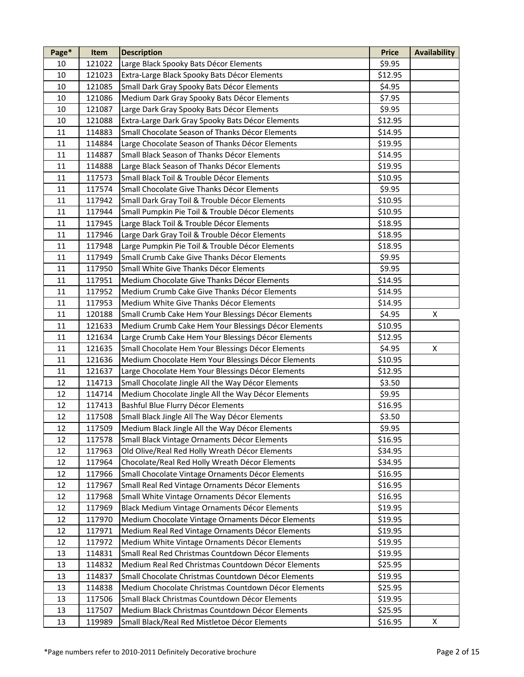| Page*  | Item   | <b>Description</b>                                  | <b>Price</b> | <b>Availability</b> |
|--------|--------|-----------------------------------------------------|--------------|---------------------|
| 10     | 121022 | Large Black Spooky Bats Décor Elements              | \$9.95       |                     |
| 10     | 121023 | Extra-Large Black Spooky Bats Décor Elements        | \$12.95      |                     |
| 10     | 121085 | Small Dark Gray Spooky Bats Décor Elements          | \$4.95       |                     |
| 10     | 121086 | Medium Dark Gray Spooky Bats Décor Elements         | \$7.95       |                     |
| 10     | 121087 | Large Dark Gray Spooky Bats Décor Elements          | \$9.95       |                     |
| 10     | 121088 | Extra-Large Dark Gray Spooky Bats Décor Elements    | \$12.95      |                     |
| 11     | 114883 | Small Chocolate Season of Thanks Décor Elements     | \$14.95      |                     |
| $11\,$ | 114884 | Large Chocolate Season of Thanks Décor Elements     | \$19.95      |                     |
| 11     | 114887 | Small Black Season of Thanks Décor Elements         | \$14.95      |                     |
| 11     | 114888 | Large Black Season of Thanks Décor Elements         | \$19.95      |                     |
| 11     | 117573 | Small Black Toil & Trouble Décor Elements           | \$10.95      |                     |
| 11     | 117574 | Small Chocolate Give Thanks Décor Elements          | \$9.95       |                     |
| 11     | 117942 | Small Dark Gray Toil & Trouble Décor Elements       | \$10.95      |                     |
| 11     | 117944 | Small Pumpkin Pie Toil & Trouble Décor Elements     | \$10.95      |                     |
| 11     | 117945 | Large Black Toil & Trouble Décor Elements           | \$18.95      |                     |
| 11     | 117946 | Large Dark Gray Toil & Trouble Décor Elements       | \$18.95      |                     |
| 11     | 117948 | Large Pumpkin Pie Toil & Trouble Décor Elements     | \$18.95      |                     |
| 11     | 117949 | Small Crumb Cake Give Thanks Décor Elements         | \$9.95       |                     |
| 11     | 117950 | Small White Give Thanks Décor Elements              | \$9.95       |                     |
| $11\,$ | 117951 | Medium Chocolate Give Thanks Décor Elements         | \$14.95      |                     |
| 11     | 117952 | Medium Crumb Cake Give Thanks Décor Elements        | \$14.95      |                     |
| 11     | 117953 | Medium White Give Thanks Décor Elements             | \$14.95      |                     |
| 11     | 120188 |                                                     | \$4.95       | X                   |
| $11\,$ |        | Small Crumb Cake Hem Your Blessings Décor Elements  |              |                     |
|        | 121633 | Medium Crumb Cake Hem Your Blessings Décor Elements | \$10.95      |                     |
| 11     | 121634 | Large Crumb Cake Hem Your Blessings Décor Elements  | \$12.95      |                     |
| 11     | 121635 | Small Chocolate Hem Your Blessings Décor Elements   | \$4.95       | $\pmb{\mathsf{X}}$  |
| 11     | 121636 | Medium Chocolate Hem Your Blessings Décor Elements  | \$10.95      |                     |
| 11     | 121637 | Large Chocolate Hem Your Blessings Décor Elements   | \$12.95      |                     |
| 12     | 114713 | Small Chocolate Jingle All the Way Décor Elements   | \$3.50       |                     |
| 12     | 114714 | Medium Chocolate Jingle All the Way Décor Elements  | \$9.95       |                     |
| 12     | 117413 | Bashful Blue Flurry Décor Elements                  | \$16.95      |                     |
| 12     | 117508 | Small Black Jingle All The Way Décor Elements       | \$3.50       |                     |
| 12     | 117509 | Medium Black Jingle All the Way Décor Elements      | \$9.95       |                     |
| 12     | 117578 | Small Black Vintage Ornaments Décor Elements        | \$16.95      |                     |
| 12     | 117963 | Old Olive/Real Red Holly Wreath Décor Elements      | \$34.95      |                     |
| 12     | 117964 | Chocolate/Real Red Holly Wreath Décor Elements      | \$34.95      |                     |
| 12     | 117966 | Small Chocolate Vintage Ornaments Décor Elements    | \$16.95      |                     |
| 12     | 117967 | Small Real Red Vintage Ornaments Décor Elements     | \$16.95      |                     |
| 12     | 117968 | Small White Vintage Ornaments Décor Elements        | \$16.95      |                     |
| 12     | 117969 | Black Medium Vintage Ornaments Décor Elements       | \$19.95      |                     |
| 12     | 117970 | Medium Chocolate Vintage Ornaments Décor Elements   | \$19.95      |                     |
| 12     | 117971 | Medium Real Red Vintage Ornaments Décor Elements    | \$19.95      |                     |
| 12     | 117972 | Medium White Vintage Ornaments Décor Elements       | \$19.95      |                     |
| 13     | 114831 | Small Real Red Christmas Countdown Décor Elements   | \$19.95      |                     |
| 13     | 114832 | Medium Real Red Christmas Countdown Décor Elements  | \$25.95      |                     |
| 13     | 114837 | Small Chocolate Christmas Countdown Décor Elements  | \$19.95      |                     |
| 13     | 114838 | Medium Chocolate Christmas Countdown Décor Elements | \$25.95      |                     |
| 13     | 117506 | Small Black Christmas Countdown Décor Elements      | \$19.95      |                     |
| 13     | 117507 | Medium Black Christmas Countdown Décor Elements     | \$25.95      |                     |
| 13     | 119989 | Small Black/Real Red Mistletoe Décor Elements       | \$16.95      | X                   |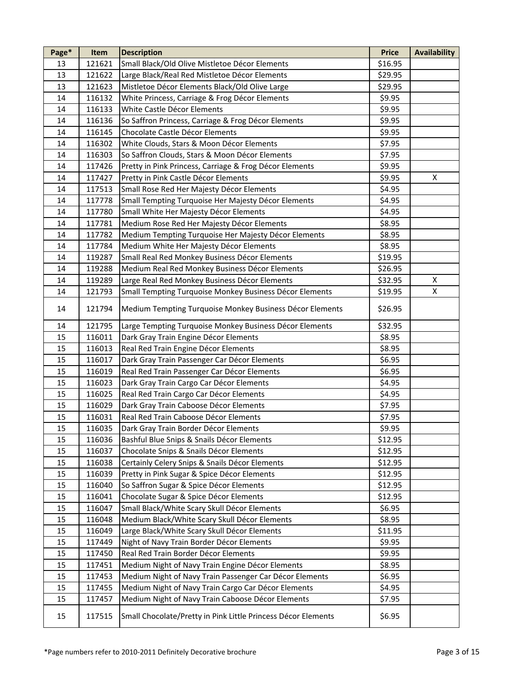| Page* | Item   | <b>Description</b>                                            | <b>Price</b> | <b>Availability</b> |
|-------|--------|---------------------------------------------------------------|--------------|---------------------|
| 13    | 121621 | Small Black/Old Olive Mistletoe Décor Elements                | \$16.95      |                     |
| 13    | 121622 | Large Black/Real Red Mistletoe Décor Elements                 | \$29.95      |                     |
| 13    | 121623 | Mistletoe Décor Elements Black/Old Olive Large                | \$29.95      |                     |
| 14    | 116132 | White Princess, Carriage & Frog Décor Elements                | \$9.95       |                     |
| 14    | 116133 | White Castle Décor Elements                                   | \$9.95       |                     |
| 14    | 116136 | So Saffron Princess, Carriage & Frog Décor Elements           | \$9.95       |                     |
| 14    | 116145 | Chocolate Castle Décor Elements                               | \$9.95       |                     |
| 14    | 116302 | White Clouds, Stars & Moon Décor Elements                     | \$7.95       |                     |
| 14    | 116303 | So Saffron Clouds, Stars & Moon Décor Elements                | \$7.95       |                     |
| 14    | 117426 | Pretty in Pink Princess, Carriage & Frog Décor Elements       | \$9.95       |                     |
| 14    | 117427 | Pretty in Pink Castle Décor Elements                          | \$9.95       | X                   |
| 14    | 117513 | Small Rose Red Her Majesty Décor Elements                     | \$4.95       |                     |
| 14    | 117778 | Small Tempting Turquoise Her Majesty Décor Elements           | \$4.95       |                     |
| 14    | 117780 | Small White Her Majesty Décor Elements                        | \$4.95       |                     |
| 14    | 117781 | Medium Rose Red Her Majesty Décor Elements                    | \$8.95       |                     |
| 14    | 117782 | Medium Tempting Turquoise Her Majesty Décor Elements          | \$8.95       |                     |
| 14    | 117784 | Medium White Her Majesty Décor Elements                       | \$8.95       |                     |
| 14    | 119287 | Small Real Red Monkey Business Décor Elements                 | \$19.95      |                     |
| 14    | 119288 | Medium Real Red Monkey Business Décor Elements                | \$26.95      |                     |
| 14    | 119289 | Large Real Red Monkey Business Décor Elements                 | \$32.95      | X                   |
| 14    | 121793 | Small Tempting Turquoise Monkey Business Décor Elements       | \$19.95      | X                   |
| 14    | 121794 | Medium Tempting Turquoise Monkey Business Décor Elements      | \$26.95      |                     |
| 14    | 121795 | Large Tempting Turquoise Monkey Business Décor Elements       | \$32.95      |                     |
| 15    | 116011 | Dark Gray Train Engine Décor Elements                         | \$8.95       |                     |
| 15    | 116013 | Real Red Train Engine Décor Elements                          | \$8.95       |                     |
| 15    | 116017 | Dark Gray Train Passenger Car Décor Elements                  | \$6.95       |                     |
| 15    | 116019 | Real Red Train Passenger Car Décor Elements                   | \$6.95       |                     |
| 15    | 116023 | Dark Gray Train Cargo Car Décor Elements                      | \$4.95       |                     |
| 15    | 116025 | Real Red Train Cargo Car Décor Elements                       | \$4.95       |                     |
| 15    | 116029 | Dark Gray Train Caboose Décor Elements                        | \$7.95       |                     |
| 15    | 116031 | Real Red Train Caboose Décor Elements                         | \$7.95       |                     |
| 15    | 116035 | Dark Gray Train Border Décor Elements                         | \$9.95       |                     |
| 15    | 116036 | Bashful Blue Snips & Snails Décor Elements                    | \$12.95      |                     |
| 15    | 116037 | Chocolate Snips & Snails Décor Elements                       | \$12.95      |                     |
| 15    | 116038 | Certainly Celery Snips & Snails Décor Elements                | \$12.95      |                     |
| 15    | 116039 | Pretty in Pink Sugar & Spice Décor Elements                   | \$12.95      |                     |
| 15    | 116040 | So Saffron Sugar & Spice Décor Elements                       | \$12.95      |                     |
| 15    | 116041 | Chocolate Sugar & Spice Décor Elements                        | \$12.95      |                     |
| 15    | 116047 | Small Black/White Scary Skull Décor Elements                  | \$6.95       |                     |
| 15    | 116048 | Medium Black/White Scary Skull Décor Elements                 | \$8.95       |                     |
| 15    | 116049 | Large Black/White Scary Skull Décor Elements                  | \$11.95      |                     |
| 15    | 117449 | Night of Navy Train Border Décor Elements                     | \$9.95       |                     |
| 15    | 117450 | Real Red Train Border Décor Elements                          | \$9.95       |                     |
| 15    | 117451 | Medium Night of Navy Train Engine Décor Elements              | \$8.95       |                     |
| 15    | 117453 | Medium Night of Navy Train Passenger Car Décor Elements       | \$6.95       |                     |
| 15    | 117455 | Medium Night of Navy Train Cargo Car Décor Elements           | \$4.95       |                     |
| 15    | 117457 | Medium Night of Navy Train Caboose Décor Elements             | \$7.95       |                     |
| 15    | 117515 | Small Chocolate/Pretty in Pink Little Princess Décor Elements | \$6.95       |                     |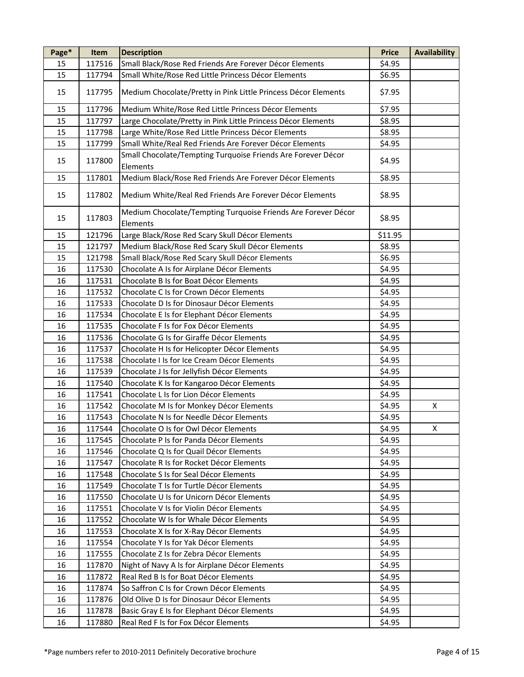| Page* | Item   | <b>Description</b>                                                        | <b>Price</b> | <b>Availability</b> |
|-------|--------|---------------------------------------------------------------------------|--------------|---------------------|
| 15    | 117516 | Small Black/Rose Red Friends Are Forever Décor Elements                   | \$4.95       |                     |
| 15    | 117794 | Small White/Rose Red Little Princess Décor Elements                       | \$6.95       |                     |
| 15    | 117795 | Medium Chocolate/Pretty in Pink Little Princess Décor Elements            | \$7.95       |                     |
| 15    | 117796 | Medium White/Rose Red Little Princess Décor Elements                      | \$7.95       |                     |
| 15    | 117797 | Large Chocolate/Pretty in Pink Little Princess Décor Elements             | \$8.95       |                     |
| 15    | 117798 | Large White/Rose Red Little Princess Décor Elements                       | \$8.95       |                     |
| 15    | 117799 | Small White/Real Red Friends Are Forever Décor Elements                   | \$4.95       |                     |
| 15    | 117800 | Small Chocolate/Tempting Turquoise Friends Are Forever Décor<br>Elements  | \$4.95       |                     |
| 15    | 117801 | Medium Black/Rose Red Friends Are Forever Décor Elements                  | \$8.95       |                     |
| 15    | 117802 | Medium White/Real Red Friends Are Forever Décor Elements                  | \$8.95       |                     |
| 15    | 117803 | Medium Chocolate/Tempting Turquoise Friends Are Forever Décor<br>Elements | \$8.95       |                     |
| 15    | 121796 | Large Black/Rose Red Scary Skull Décor Elements                           | \$11.95      |                     |
| 15    | 121797 | Medium Black/Rose Red Scary Skull Décor Elements                          | \$8.95       |                     |
| 15    | 121798 | Small Black/Rose Red Scary Skull Décor Elements                           | \$6.95       |                     |
| 16    | 117530 | Chocolate A Is for Airplane Décor Elements                                | \$4.95       |                     |
| 16    | 117531 | Chocolate B Is for Boat Décor Elements                                    | \$4.95       |                     |
| 16    | 117532 | Chocolate C Is for Crown Décor Elements                                   | \$4.95       |                     |
| 16    | 117533 | Chocolate D Is for Dinosaur Décor Elements                                | \$4.95       |                     |
| 16    | 117534 | Chocolate E Is for Elephant Décor Elements                                | \$4.95       |                     |
| 16    | 117535 | Chocolate F Is for Fox Décor Elements                                     | \$4.95       |                     |
| 16    | 117536 | Chocolate G Is for Giraffe Décor Elements                                 | \$4.95       |                     |
| 16    | 117537 | Chocolate H Is for Helicopter Décor Elements                              | \$4.95       |                     |
| 16    | 117538 | Chocolate I Is for Ice Cream Décor Elements                               | \$4.95       |                     |
| 16    | 117539 | Chocolate J Is for Jellyfish Décor Elements                               | \$4.95       |                     |
| 16    | 117540 | Chocolate K Is for Kangaroo Décor Elements                                | \$4.95       |                     |
| 16    | 117541 | Chocolate L Is for Lion Décor Elements                                    | \$4.95       |                     |
| 16    | 117542 | Chocolate M Is for Monkey Décor Elements                                  | \$4.95       | Χ                   |
| 16    | 117543 | Chocolate N Is for Needle Décor Elements                                  | \$4.95       |                     |
| 16    | 117544 | Chocolate O Is for Owl Décor Elements                                     | \$4.95       | X                   |
| 16    | 117545 | Chocolate P Is for Panda Décor Elements                                   | \$4.95       |                     |
| 16    | 117546 | Chocolate Q Is for Quail Décor Elements                                   | \$4.95       |                     |
| 16    | 117547 | Chocolate R Is for Rocket Décor Elements                                  | \$4.95       |                     |
| 16    | 117548 | Chocolate S Is for Seal Décor Elements                                    | \$4.95       |                     |
| 16    | 117549 | Chocolate T Is for Turtle Décor Elements                                  | \$4.95       |                     |
| 16    | 117550 | Chocolate U Is for Unicorn Décor Elements                                 | \$4.95       |                     |
| 16    | 117551 | Chocolate V Is for Violin Décor Elements                                  | \$4.95       |                     |
| 16    | 117552 | Chocolate W Is for Whale Décor Elements                                   | \$4.95       |                     |
| 16    | 117553 | Chocolate X Is for X-Ray Décor Elements                                   | \$4.95       |                     |
| 16    | 117554 | Chocolate Y Is for Yak Décor Elements                                     | \$4.95       |                     |
| 16    | 117555 | Chocolate Z Is for Zebra Décor Elements                                   | \$4.95       |                     |
| 16    | 117870 | Night of Navy A Is for Airplane Décor Elements                            | \$4.95       |                     |
| 16    | 117872 | Real Red B Is for Boat Décor Elements                                     | \$4.95       |                     |
| 16    | 117874 | So Saffron C Is for Crown Décor Elements                                  | \$4.95       |                     |
| 16    | 117876 | Old Olive D Is for Dinosaur Décor Elements                                | \$4.95       |                     |
| 16    | 117878 | Basic Gray E Is for Elephant Décor Elements                               | \$4.95       |                     |
| 16    | 117880 | Real Red F Is for Fox Décor Elements                                      | \$4.95       |                     |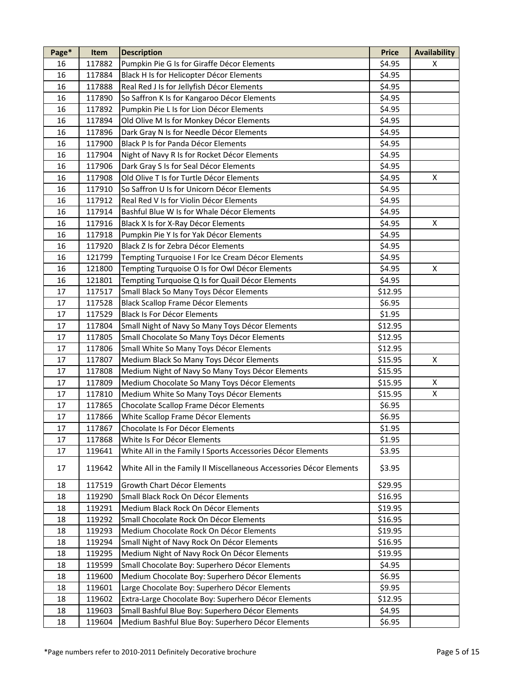| Page* | Item   | <b>Description</b>                                                  | <b>Price</b> | <b>Availability</b> |
|-------|--------|---------------------------------------------------------------------|--------------|---------------------|
| 16    | 117882 | Pumpkin Pie G Is for Giraffe Décor Elements                         | \$4.95       | X                   |
| 16    | 117884 | Black H Is for Helicopter Décor Elements                            | \$4.95       |                     |
| 16    | 117888 | Real Red J Is for Jellyfish Décor Elements                          | \$4.95       |                     |
| 16    | 117890 | So Saffron K Is for Kangaroo Décor Elements                         | \$4.95       |                     |
| 16    | 117892 | Pumpkin Pie L Is for Lion Décor Elements                            | \$4.95       |                     |
| 16    | 117894 | Old Olive M Is for Monkey Décor Elements                            | \$4.95       |                     |
| 16    | 117896 | Dark Gray N Is for Needle Décor Elements                            | \$4.95       |                     |
| 16    | 117900 | Black P Is for Panda Décor Elements                                 | \$4.95       |                     |
| 16    | 117904 | Night of Navy R Is for Rocket Décor Elements                        | \$4.95       |                     |
| 16    | 117906 | Dark Gray S Is for Seal Décor Elements                              | \$4.95       |                     |
| 16    | 117908 | Old Olive T Is for Turtle Décor Elements                            | \$4.95       | Χ                   |
| 16    | 117910 | So Saffron U Is for Unicorn Décor Elements                          | \$4.95       |                     |
| 16    | 117912 | Real Red V Is for Violin Décor Elements                             | \$4.95       |                     |
| 16    | 117914 | Bashful Blue W Is for Whale Décor Elements                          | \$4.95       |                     |
| 16    | 117916 | Black X Is for X-Ray Décor Elements                                 | \$4.95       | X                   |
| 16    | 117918 | Pumpkin Pie Y Is for Yak Décor Elements                             | \$4.95       |                     |
| 16    | 117920 | Black Z Is for Zebra Décor Elements                                 | \$4.95       |                     |
| 16    | 121799 | Tempting Turquoise I For Ice Cream Décor Elements                   | \$4.95       |                     |
| 16    | 121800 | Tempting Turquoise O Is for Owl Décor Elements                      | \$4.95       | Χ                   |
| 16    | 121801 | Tempting Turquoise Q Is for Quail Décor Elements                    | \$4.95       |                     |
| 17    | 117517 | Small Black So Many Toys Décor Elements                             | \$12.95      |                     |
| 17    | 117528 | <b>Black Scallop Frame Décor Elements</b>                           | \$6.95       |                     |
| 17    | 117529 | Black Is For Décor Elements                                         | \$1.95       |                     |
| 17    | 117804 | Small Night of Navy So Many Toys Décor Elements                     | \$12.95      |                     |
| 17    | 117805 | Small Chocolate So Many Toys Décor Elements                         | \$12.95      |                     |
| 17    | 117806 | Small White So Many Toys Décor Elements                             | \$12.95      |                     |
| 17    | 117807 | Medium Black So Many Toys Décor Elements                            | \$15.95      | X                   |
| 17    | 117808 | Medium Night of Navy So Many Toys Décor Elements                    | \$15.95      |                     |
| 17    | 117809 | Medium Chocolate So Many Toys Décor Elements                        | \$15.95      | X                   |
| 17    | 117810 | Medium White So Many Toys Décor Elements                            | \$15.95      | X                   |
| 17    | 117865 | Chocolate Scallop Frame Décor Elements                              | \$6.95       |                     |
| 17    | 117866 | White Scallop Frame Décor Elements                                  | \$6.95       |                     |
| 17    | 117867 | Chocolate Is For Décor Elements                                     | \$1.95       |                     |
| 17    | 117868 | White Is For Décor Elements                                         | \$1.95       |                     |
| 17    | 119641 | White All in the Family I Sports Accessories Décor Elements         |              |                     |
|       |        |                                                                     | \$3.95       |                     |
| 17    | 119642 | White All in the Family II Miscellaneous Accessories Décor Elements | \$3.95       |                     |
| 18    | 117519 | Growth Chart Décor Elements                                         | \$29.95      |                     |
| 18    | 119290 | Small Black Rock On Décor Elements                                  | \$16.95      |                     |
| 18    | 119291 | Medium Black Rock On Décor Elements                                 | \$19.95      |                     |
| 18    | 119292 | Small Chocolate Rock On Décor Elements                              | \$16.95      |                     |
| 18    | 119293 | Medium Chocolate Rock On Décor Elements                             | \$19.95      |                     |
| 18    | 119294 | Small Night of Navy Rock On Décor Elements                          | \$16.95      |                     |
| 18    | 119295 | Medium Night of Navy Rock On Décor Elements                         | \$19.95      |                     |
| 18    | 119599 | Small Chocolate Boy: Superhero Décor Elements                       | \$4.95       |                     |
| 18    | 119600 | Medium Chocolate Boy: Superhero Décor Elements                      | \$6.95       |                     |
| 18    | 119601 | Large Chocolate Boy: Superhero Décor Elements                       | \$9.95       |                     |
| 18    | 119602 | Extra-Large Chocolate Boy: Superhero Décor Elements                 | \$12.95      |                     |
| 18    | 119603 | Small Bashful Blue Boy: Superhero Décor Elements                    | \$4.95       |                     |
| 18    | 119604 | Medium Bashful Blue Boy: Superhero Décor Elements                   | \$6.95       |                     |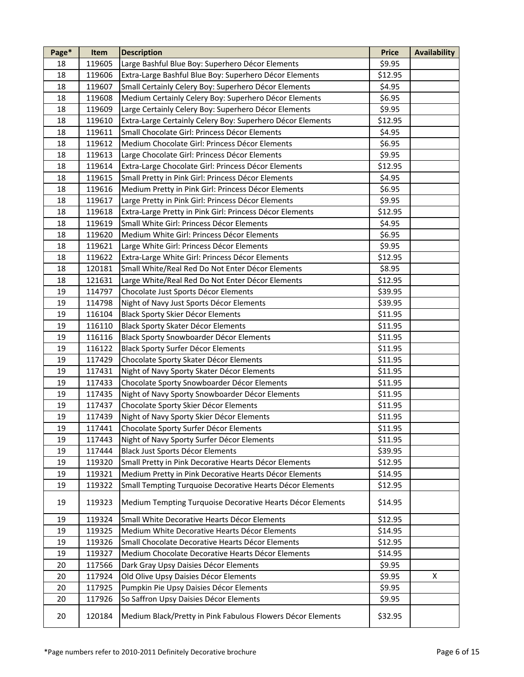| Page* | Item   | <b>Description</b>                                          | <b>Price</b> | <b>Availability</b> |
|-------|--------|-------------------------------------------------------------|--------------|---------------------|
| 18    | 119605 | Large Bashful Blue Boy: Superhero Décor Elements            | \$9.95       |                     |
| 18    | 119606 | Extra-Large Bashful Blue Boy: Superhero Décor Elements      | \$12.95      |                     |
| 18    | 119607 | Small Certainly Celery Boy: Superhero Décor Elements        | \$4.95       |                     |
| 18    | 119608 | Medium Certainly Celery Boy: Superhero Décor Elements       | \$6.95       |                     |
| 18    | 119609 | Large Certainly Celery Boy: Superhero Décor Elements        | \$9.95       |                     |
| 18    | 119610 | Extra-Large Certainly Celery Boy: Superhero Décor Elements  | \$12.95      |                     |
| 18    | 119611 | Small Chocolate Girl: Princess Décor Elements               | \$4.95       |                     |
| 18    | 119612 | Medium Chocolate Girl: Princess Décor Elements              | \$6.95       |                     |
| 18    | 119613 | Large Chocolate Girl: Princess Décor Elements               | \$9.95       |                     |
| 18    | 119614 | Extra-Large Chocolate Girl: Princess Décor Elements         | \$12.95      |                     |
| 18    | 119615 | Small Pretty in Pink Girl: Princess Décor Elements          | \$4.95       |                     |
| 18    | 119616 | Medium Pretty in Pink Girl: Princess Décor Elements         | \$6.95       |                     |
| 18    | 119617 | Large Pretty in Pink Girl: Princess Décor Elements          | \$9.95       |                     |
| 18    | 119618 | Extra-Large Pretty in Pink Girl: Princess Décor Elements    | \$12.95      |                     |
| 18    | 119619 | Small White Girl: Princess Décor Elements                   | \$4.95       |                     |
| 18    | 119620 | Medium White Girl: Princess Décor Elements                  | \$6.95       |                     |
| 18    | 119621 | Large White Girl: Princess Décor Elements                   | \$9.95       |                     |
| 18    | 119622 | Extra-Large White Girl: Princess Décor Elements             | \$12.95      |                     |
| 18    | 120181 | Small White/Real Red Do Not Enter Décor Elements            | \$8.95       |                     |
| 18    | 121631 | Large White/Real Red Do Not Enter Décor Elements            | \$12.95      |                     |
| 19    | 114797 | Chocolate Just Sports Décor Elements                        | \$39.95      |                     |
| 19    | 114798 | Night of Navy Just Sports Décor Elements                    | \$39.95      |                     |
| 19    | 116104 | <b>Black Sporty Skier Décor Elements</b>                    | \$11.95      |                     |
| 19    | 116110 | Black Sporty Skater Décor Elements                          | \$11.95      |                     |
| 19    | 116116 | Black Sporty Snowboarder Décor Elements                     | \$11.95      |                     |
| 19    | 116122 | Black Sporty Surfer Décor Elements                          | \$11.95      |                     |
| 19    | 117429 | Chocolate Sporty Skater Décor Elements                      | \$11.95      |                     |
| 19    | 117431 | Night of Navy Sporty Skater Décor Elements                  | \$11.95      |                     |
| 19    | 117433 | Chocolate Sporty Snowboarder Décor Elements                 | \$11.95      |                     |
| 19    | 117435 | Night of Navy Sporty Snowboarder Décor Elements             | \$11.95      |                     |
| 19    | 117437 | Chocolate Sporty Skier Décor Elements                       | \$11.95      |                     |
| 19    | 117439 | Night of Navy Sporty Skier Décor Elements                   | \$11.95      |                     |
| 19    | 117441 | Chocolate Sporty Surfer Décor Elements                      | \$11.95      |                     |
| 19    | 117443 | Night of Navy Sporty Surfer Décor Elements                  | \$11.95      |                     |
| 19    | 117444 | Black Just Sports Décor Elements                            | \$39.95      |                     |
| 19    | 119320 | Small Pretty in Pink Decorative Hearts Décor Elements       | \$12.95      |                     |
| 19    | 119321 | Medium Pretty in Pink Decorative Hearts Décor Elements      | \$14.95      |                     |
| 19    | 119322 | Small Tempting Turquoise Decorative Hearts Décor Elements   | \$12.95      |                     |
| 19    | 119323 | Medium Tempting Turquoise Decorative Hearts Décor Elements  | \$14.95      |                     |
| 19    | 119324 | Small White Decorative Hearts Décor Elements                | \$12.95      |                     |
| 19    | 119325 | Medium White Decorative Hearts Décor Elements               | \$14.95      |                     |
| 19    | 119326 | Small Chocolate Decorative Hearts Décor Elements            | \$12.95      |                     |
| 19    | 119327 | Medium Chocolate Decorative Hearts Décor Elements           | \$14.95      |                     |
| 20    | 117566 | Dark Gray Upsy Daisies Décor Elements                       | \$9.95       |                     |
| 20    | 117924 | Old Olive Upsy Daisies Décor Elements                       | \$9.95       | X                   |
| 20    | 117925 | Pumpkin Pie Upsy Daisies Décor Elements                     | \$9.95       |                     |
| 20    | 117926 | So Saffron Upsy Daisies Décor Elements                      | \$9.95       |                     |
| 20    | 120184 | Medium Black/Pretty in Pink Fabulous Flowers Décor Elements | \$32.95      |                     |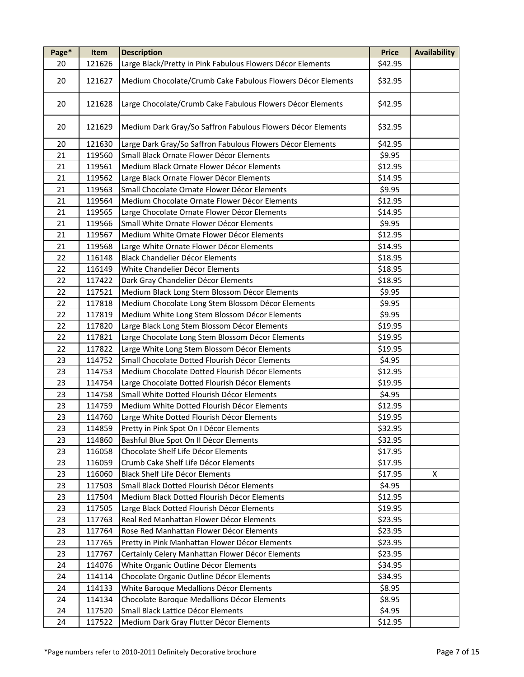| Page* | Item   | <b>Description</b>                                          | <b>Price</b> | <b>Availability</b> |
|-------|--------|-------------------------------------------------------------|--------------|---------------------|
| 20    | 121626 | Large Black/Pretty in Pink Fabulous Flowers Décor Elements  | \$42.95      |                     |
| 20    | 121627 | Medium Chocolate/Crumb Cake Fabulous Flowers Décor Elements | \$32.95      |                     |
| 20    | 121628 | Large Chocolate/Crumb Cake Fabulous Flowers Décor Elements  | \$42.95      |                     |
| 20    | 121629 | Medium Dark Gray/So Saffron Fabulous Flowers Décor Elements | \$32.95      |                     |
| 20    | 121630 | Large Dark Gray/So Saffron Fabulous Flowers Décor Elements  | \$42.95      |                     |
| 21    | 119560 | Small Black Ornate Flower Décor Elements                    | \$9.95       |                     |
| 21    | 119561 | Medium Black Ornate Flower Décor Elements                   | \$12.95      |                     |
| 21    | 119562 | Large Black Ornate Flower Décor Elements                    | \$14.95      |                     |
| 21    | 119563 | Small Chocolate Ornate Flower Décor Elements                | \$9.95       |                     |
| 21    | 119564 | Medium Chocolate Ornate Flower Décor Elements               | \$12.95      |                     |
| 21    | 119565 | Large Chocolate Ornate Flower Décor Elements                | \$14.95      |                     |
| 21    | 119566 | Small White Ornate Flower Décor Elements                    | \$9.95       |                     |
| 21    | 119567 | Medium White Ornate Flower Décor Elements                   | \$12.95      |                     |
| 21    | 119568 | Large White Ornate Flower Décor Elements                    | \$14.95      |                     |
| 22    | 116148 | Black Chandelier Décor Elements                             | \$18.95      |                     |
| 22    | 116149 | White Chandelier Décor Elements                             | \$18.95      |                     |
| 22    | 117422 | Dark Gray Chandelier Décor Elements                         | \$18.95      |                     |
| 22    | 117521 | Medium Black Long Stem Blossom Décor Elements               | \$9.95       |                     |
| 22    | 117818 | Medium Chocolate Long Stem Blossom Décor Elements           | \$9.95       |                     |
| 22    | 117819 | Medium White Long Stem Blossom Décor Elements               | \$9.95       |                     |
| 22    | 117820 | Large Black Long Stem Blossom Décor Elements                | \$19.95      |                     |
| 22    | 117821 | Large Chocolate Long Stem Blossom Décor Elements            | \$19.95      |                     |
| 22    | 117822 | Large White Long Stem Blossom Décor Elements                | \$19.95      |                     |
| 23    | 114752 | Small Chocolate Dotted Flourish Décor Elements              | \$4.95       |                     |
| 23    | 114753 | Medium Chocolate Dotted Flourish Décor Elements             | \$12.95      |                     |
| 23    | 114754 | Large Chocolate Dotted Flourish Décor Elements              | \$19.95      |                     |
| 23    | 114758 | Small White Dotted Flourish Décor Elements                  | \$4.95       |                     |
| 23    | 114759 | Medium White Dotted Flourish Décor Elements                 | \$12.95      |                     |
| 23    | 114760 | Large White Dotted Flourish Décor Elements                  | \$19.95      |                     |
| 23    | 114859 | Pretty in Pink Spot On I Décor Elements                     | \$32.95      |                     |
| 23    | 114860 | Bashful Blue Spot On II Décor Elements                      | \$32.95      |                     |
| 23    | 116058 | Chocolate Shelf Life Décor Elements                         | \$17.95      |                     |
| 23    | 116059 | Crumb Cake Shelf Life Décor Elements                        | \$17.95      |                     |
| 23    | 116060 | Black Shelf Life Décor Elements                             | \$17.95      | Χ                   |
| 23    | 117503 | Small Black Dotted Flourish Décor Elements                  | \$4.95       |                     |
| 23    | 117504 | Medium Black Dotted Flourish Décor Elements                 | \$12.95      |                     |
| 23    | 117505 | Large Black Dotted Flourish Décor Elements                  | \$19.95      |                     |
| 23    | 117763 | Real Red Manhattan Flower Décor Elements                    | \$23.95      |                     |
| 23    | 117764 | Rose Red Manhattan Flower Décor Elements                    | \$23.95      |                     |
| 23    | 117765 | Pretty in Pink Manhattan Flower Décor Elements              | \$23.95      |                     |
| 23    | 117767 | Certainly Celery Manhattan Flower Décor Elements            | \$23.95      |                     |
| 24    | 114076 | White Organic Outline Décor Elements                        | \$34.95      |                     |
| 24    | 114114 | Chocolate Organic Outline Décor Elements                    | \$34.95      |                     |
| 24    | 114133 | White Baroque Medallions Décor Elements                     | \$8.95       |                     |
| 24    | 114134 | Chocolate Baroque Medallions Décor Elements                 | \$8.95       |                     |
| 24    | 117520 | Small Black Lattice Décor Elements                          | \$4.95       |                     |
| 24    | 117522 | Medium Dark Gray Flutter Décor Elements                     | \$12.95      |                     |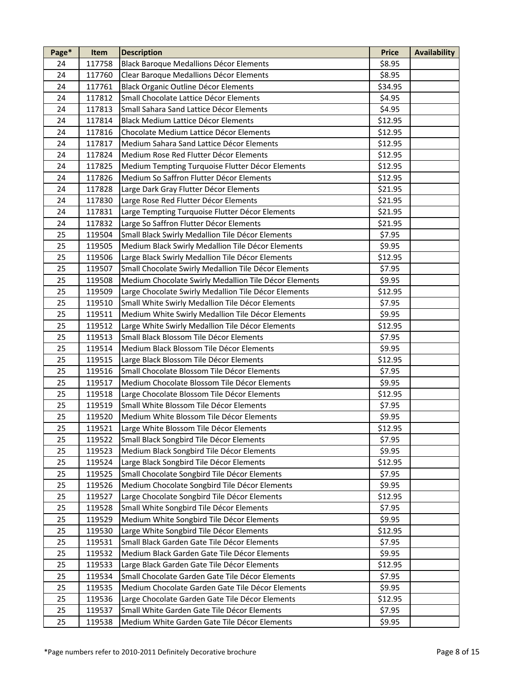| Page* | Item   | <b>Description</b>                                    | <b>Price</b> | <b>Availability</b> |
|-------|--------|-------------------------------------------------------|--------------|---------------------|
| 24    | 117758 | <b>Black Baroque Medallions Décor Elements</b>        | \$8.95       |                     |
| 24    | 117760 | Clear Baroque Medallions Décor Elements               | \$8.95       |                     |
| 24    | 117761 | Black Organic Outline Décor Elements                  | \$34.95      |                     |
| 24    | 117812 | Small Chocolate Lattice Décor Elements                | \$4.95       |                     |
| 24    | 117813 | Small Sahara Sand Lattice Décor Elements              | \$4.95       |                     |
| 24    | 117814 | Black Medium Lattice Décor Elements                   | \$12.95      |                     |
| 24    | 117816 | Chocolate Medium Lattice Décor Elements               | \$12.95      |                     |
| 24    | 117817 | Medium Sahara Sand Lattice Décor Elements             | \$12.95      |                     |
| 24    | 117824 | Medium Rose Red Flutter Décor Elements                | \$12.95      |                     |
| 24    | 117825 | Medium Tempting Turquoise Flutter Décor Elements      | \$12.95      |                     |
| 24    | 117826 | Medium So Saffron Flutter Décor Elements              | \$12.95      |                     |
| 24    | 117828 | Large Dark Gray Flutter Décor Elements                | \$21.95      |                     |
| 24    | 117830 | Large Rose Red Flutter Décor Elements                 | \$21.95      |                     |
| 24    | 117831 | Large Tempting Turquoise Flutter Décor Elements       | \$21.95      |                     |
| 24    | 117832 | Large So Saffron Flutter Décor Elements               | \$21.95      |                     |
| 25    | 119504 | Small Black Swirly Medallion Tile Décor Elements      | \$7.95       |                     |
| 25    | 119505 | Medium Black Swirly Medallion Tile Décor Elements     | \$9.95       |                     |
| 25    | 119506 | Large Black Swirly Medallion Tile Décor Elements      | \$12.95      |                     |
| 25    | 119507 | Small Chocolate Swirly Medallion Tile Décor Elements  | \$7.95       |                     |
| 25    | 119508 | Medium Chocolate Swirly Medallion Tile Décor Elements | \$9.95       |                     |
| 25    | 119509 | Large Chocolate Swirly Medallion Tile Décor Elements  | \$12.95      |                     |
| 25    | 119510 | Small White Swirly Medallion Tile Décor Elements      | \$7.95       |                     |
| 25    | 119511 | Medium White Swirly Medallion Tile Décor Elements     | \$9.95       |                     |
| 25    | 119512 | Large White Swirly Medallion Tile Décor Elements      | \$12.95      |                     |
| 25    | 119513 | Small Black Blossom Tile Décor Elements               |              |                     |
| 25    |        |                                                       | \$7.95       |                     |
|       | 119514 | Medium Black Blossom Tile Décor Elements              | \$9.95       |                     |
| 25    | 119515 | Large Black Blossom Tile Décor Elements               | \$12.95      |                     |
| 25    | 119516 | Small Chocolate Blossom Tile Décor Elements           | \$7.95       |                     |
| 25    | 119517 | Medium Chocolate Blossom Tile Décor Elements          | \$9.95       |                     |
| 25    | 119518 | Large Chocolate Blossom Tile Décor Elements           | \$12.95      |                     |
| 25    | 119519 | Small White Blossom Tile Décor Elements               | \$7.95       |                     |
| 25    | 119520 | Medium White Blossom Tile Décor Elements              | \$9.95       |                     |
| 25    | 119521 | Large White Blossom Tile Décor Elements               | \$12.95      |                     |
| 25    | 119522 | Small Black Songbird Tile Décor Elements              | \$7.95       |                     |
| 25    | 119523 | Medium Black Songbird Tile Décor Elements             | \$9.95       |                     |
| 25    | 119524 | Large Black Songbird Tile Décor Elements              | \$12.95      |                     |
| 25    | 119525 | Small Chocolate Songbird Tile Décor Elements          | \$7.95       |                     |
| 25    | 119526 | Medium Chocolate Songbird Tile Décor Elements         | \$9.95       |                     |
| 25    | 119527 | Large Chocolate Songbird Tile Décor Elements          | \$12.95      |                     |
| 25    | 119528 | Small White Songbird Tile Décor Elements              | \$7.95       |                     |
| 25    | 119529 | Medium White Songbird Tile Décor Elements             | \$9.95       |                     |
| 25    | 119530 | Large White Songbird Tile Décor Elements              | \$12.95      |                     |
| 25    | 119531 | Small Black Garden Gate Tile Décor Elements           | \$7.95       |                     |
| 25    | 119532 | Medium Black Garden Gate Tile Décor Elements          | \$9.95       |                     |
| 25    | 119533 | Large Black Garden Gate Tile Décor Elements           | \$12.95      |                     |
| 25    | 119534 | Small Chocolate Garden Gate Tile Décor Elements       | \$7.95       |                     |
| 25    | 119535 | Medium Chocolate Garden Gate Tile Décor Elements      | \$9.95       |                     |
| 25    | 119536 | Large Chocolate Garden Gate Tile Décor Elements       | \$12.95      |                     |
| 25    | 119537 | Small White Garden Gate Tile Décor Elements           | \$7.95       |                     |
| 25    | 119538 | Medium White Garden Gate Tile Décor Elements          | \$9.95       |                     |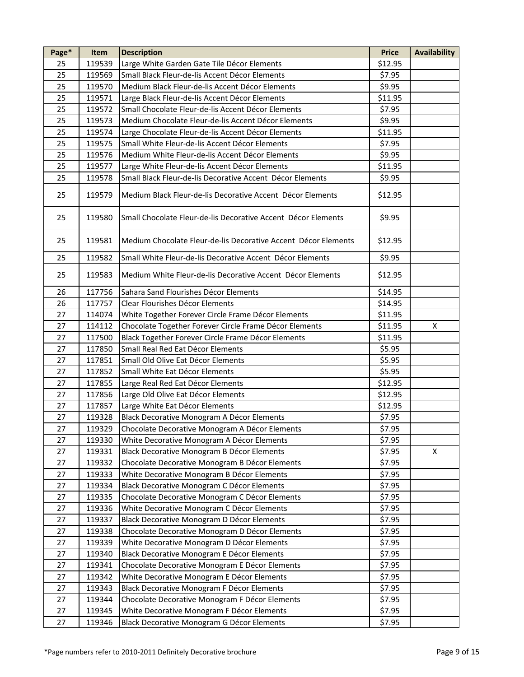| Page* | Item   | <b>Description</b>                                             | <b>Price</b> | <b>Availability</b> |
|-------|--------|----------------------------------------------------------------|--------------|---------------------|
| 25    | 119539 | Large White Garden Gate Tile Décor Elements                    | \$12.95      |                     |
| 25    | 119569 | Small Black Fleur-de-lis Accent Décor Elements                 | \$7.95       |                     |
| 25    | 119570 | Medium Black Fleur-de-lis Accent Décor Elements                | \$9.95       |                     |
| 25    | 119571 | Large Black Fleur-de-lis Accent Décor Elements                 | \$11.95      |                     |
| 25    | 119572 | Small Chocolate Fleur-de-lis Accent Décor Elements             | \$7.95       |                     |
| 25    | 119573 | Medium Chocolate Fleur-de-lis Accent Décor Elements            | \$9.95       |                     |
| 25    | 119574 | Large Chocolate Fleur-de-lis Accent Décor Elements             | \$11.95      |                     |
| 25    | 119575 | Small White Fleur-de-lis Accent Décor Elements                 | \$7.95       |                     |
| 25    | 119576 | Medium White Fleur-de-lis Accent Décor Elements                | \$9.95       |                     |
| 25    | 119577 | Large White Fleur-de-lis Accent Décor Elements                 | \$11.95      |                     |
| 25    | 119578 | Small Black Fleur-de-lis Decorative Accent Décor Elements      | \$9.95       |                     |
| 25    | 119579 | Medium Black Fleur-de-lis Decorative Accent Décor Elements     | \$12.95      |                     |
| 25    | 119580 | Small Chocolate Fleur-de-lis Decorative Accent Décor Elements  | \$9.95       |                     |
| 25    | 119581 | Medium Chocolate Fleur-de-lis Decorative Accent Décor Elements | \$12.95      |                     |
| 25    | 119582 | Small White Fleur-de-lis Decorative Accent Décor Elements      | \$9.95       |                     |
| 25    | 119583 | Medium White Fleur-de-lis Decorative Accent Décor Elements     | \$12.95      |                     |
| 26    | 117756 | Sahara Sand Flourishes Décor Elements                          | \$14.95      |                     |
| 26    | 117757 | Clear Flourishes Décor Elements                                | \$14.95      |                     |
| 27    | 114074 | White Together Forever Circle Frame Décor Elements             | \$11.95      |                     |
| 27    | 114112 | Chocolate Together Forever Circle Frame Décor Elements         | \$11.95      | X                   |
| 27    | 117500 | Black Together Forever Circle Frame Décor Elements             | \$11.95      |                     |
| 27    | 117850 | Small Real Red Eat Décor Elements                              | \$5.95       |                     |
| 27    | 117851 | Small Old Olive Eat Décor Elements                             | \$5.95       |                     |
| 27    | 117852 | Small White Eat Décor Elements                                 | \$5.95       |                     |
| 27    | 117855 | Large Real Red Eat Décor Elements                              | \$12.95      |                     |
| 27    | 117856 | Large Old Olive Eat Décor Elements                             | \$12.95      |                     |
| 27    | 117857 | Large White Eat Décor Elements                                 | \$12.95      |                     |
| 27    | 119328 | Black Decorative Monogram A Décor Elements                     | \$7.95       |                     |
| 27    | 119329 | Chocolate Decorative Monogram A Décor Elements                 | \$7.95       |                     |
| 27    | 119330 | White Decorative Monogram A Décor Elements                     | \$7.95       |                     |
| 27    | 119331 | Black Decorative Monogram B Décor Elements                     | \$7.95       | Χ                   |
| 27    | 119332 | Chocolate Decorative Monogram B Décor Elements                 | \$7.95       |                     |
| 27    | 119333 | White Decorative Monogram B Décor Elements                     | \$7.95       |                     |
| 27    | 119334 | Black Decorative Monogram C Décor Elements                     | \$7.95       |                     |
| 27    | 119335 | Chocolate Decorative Monogram C Décor Elements                 | \$7.95       |                     |
| 27    | 119336 | White Decorative Monogram C Décor Elements                     | \$7.95       |                     |
| 27    | 119337 | Black Decorative Monogram D Décor Elements                     | \$7.95       |                     |
| 27    | 119338 | Chocolate Decorative Monogram D Décor Elements                 | \$7.95       |                     |
| 27    | 119339 | White Decorative Monogram D Décor Elements                     | \$7.95       |                     |
| 27    | 119340 | Black Decorative Monogram E Décor Elements                     | \$7.95       |                     |
| 27    | 119341 | Chocolate Decorative Monogram E Décor Elements                 | \$7.95       |                     |
| 27    | 119342 | White Decorative Monogram E Décor Elements                     | \$7.95       |                     |
| 27    | 119343 | Black Decorative Monogram F Décor Elements                     | \$7.95       |                     |
| 27    | 119344 | Chocolate Decorative Monogram F Décor Elements                 | \$7.95       |                     |
| 27    | 119345 | White Decorative Monogram F Décor Elements                     | \$7.95       |                     |
| 27    | 119346 | Black Decorative Monogram G Décor Elements                     | \$7.95       |                     |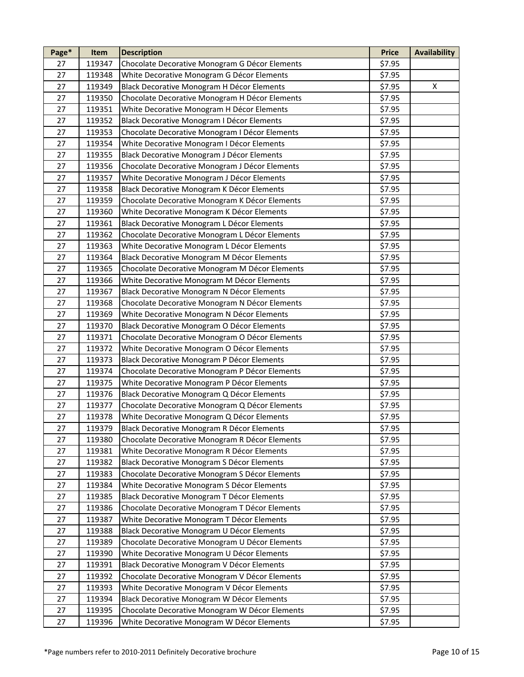| Page* | Item   | <b>Description</b>                             | <b>Price</b> | <b>Availability</b> |
|-------|--------|------------------------------------------------|--------------|---------------------|
| 27    | 119347 | Chocolate Decorative Monogram G Décor Elements | \$7.95       |                     |
| 27    | 119348 | White Decorative Monogram G Décor Elements     | \$7.95       |                     |
| 27    | 119349 | Black Decorative Monogram H Décor Elements     | \$7.95       | X                   |
| 27    | 119350 | Chocolate Decorative Monogram H Décor Elements | \$7.95       |                     |
| 27    | 119351 | White Decorative Monogram H Décor Elements     | \$7.95       |                     |
| 27    | 119352 | Black Decorative Monogram I Décor Elements     | \$7.95       |                     |
| 27    | 119353 | Chocolate Decorative Monogram I Décor Elements | \$7.95       |                     |
| 27    | 119354 | White Decorative Monogram I Décor Elements     | \$7.95       |                     |
| 27    | 119355 | Black Decorative Monogram J Décor Elements     | \$7.95       |                     |
| 27    | 119356 | Chocolate Decorative Monogram J Décor Elements | \$7.95       |                     |
| 27    | 119357 | White Decorative Monogram J Décor Elements     | \$7.95       |                     |
| 27    | 119358 | Black Decorative Monogram K Décor Elements     | \$7.95       |                     |
| 27    | 119359 | Chocolate Decorative Monogram K Décor Elements | \$7.95       |                     |
| 27    | 119360 | White Decorative Monogram K Décor Elements     | \$7.95       |                     |
| 27    | 119361 | Black Decorative Monogram L Décor Elements     | \$7.95       |                     |
| 27    | 119362 | Chocolate Decorative Monogram L Décor Elements | \$7.95       |                     |
| 27    | 119363 | White Decorative Monogram L Décor Elements     | \$7.95       |                     |
| 27    | 119364 | Black Decorative Monogram M Décor Elements     | \$7.95       |                     |
| 27    | 119365 | Chocolate Decorative Monogram M Décor Elements | \$7.95       |                     |
| 27    | 119366 | White Decorative Monogram M Décor Elements     | \$7.95       |                     |
| 27    | 119367 | Black Decorative Monogram N Décor Elements     | \$7.95       |                     |
| 27    | 119368 | Chocolate Decorative Monogram N Décor Elements | \$7.95       |                     |
| 27    | 119369 | White Decorative Monogram N Décor Elements     | \$7.95       |                     |
| 27    | 119370 | Black Decorative Monogram O Décor Elements     | \$7.95       |                     |
| 27    | 119371 | Chocolate Decorative Monogram O Décor Elements | \$7.95       |                     |
| 27    | 119372 | White Decorative Monogram O Décor Elements     | \$7.95       |                     |
| 27    | 119373 | Black Decorative Monogram P Décor Elements     | \$7.95       |                     |
| 27    | 119374 | Chocolate Decorative Monogram P Décor Elements | \$7.95       |                     |
| 27    | 119375 | White Decorative Monogram P Décor Elements     | \$7.95       |                     |
| 27    | 119376 | Black Decorative Monogram Q Décor Elements     | \$7.95       |                     |
| 27    | 119377 | Chocolate Decorative Monogram Q Décor Elements | \$7.95       |                     |
| 27    | 119378 | White Decorative Monogram Q Décor Elements     | \$7.95       |                     |
| 27    | 119379 | Black Decorative Monogram R Décor Elements     | \$7.95       |                     |
| 27    | 119380 | Chocolate Decorative Monogram R Décor Elements | \$7.95       |                     |
| 27    | 119381 | White Decorative Monogram R Décor Elements     | \$7.95       |                     |
| 27    | 119382 | Black Decorative Monogram S Décor Elements     | \$7.95       |                     |
| 27    | 119383 | Chocolate Decorative Monogram S Décor Elements | \$7.95       |                     |
| 27    | 119384 | White Decorative Monogram S Décor Elements     | \$7.95       |                     |
| 27    | 119385 | Black Decorative Monogram T Décor Elements     | \$7.95       |                     |
| 27    | 119386 | Chocolate Decorative Monogram T Décor Elements | \$7.95       |                     |
| 27    | 119387 | White Decorative Monogram T Décor Elements     | \$7.95       |                     |
| 27    | 119388 | Black Decorative Monogram U Décor Elements     | \$7.95       |                     |
| 27    | 119389 | Chocolate Decorative Monogram U Décor Elements | \$7.95       |                     |
| 27    | 119390 | White Decorative Monogram U Décor Elements     | \$7.95       |                     |
| 27    | 119391 | Black Decorative Monogram V Décor Elements     | \$7.95       |                     |
| 27    | 119392 | Chocolate Decorative Monogram V Décor Elements | \$7.95       |                     |
| 27    | 119393 | White Decorative Monogram V Décor Elements     | \$7.95       |                     |
| 27    | 119394 | Black Decorative Monogram W Décor Elements     | \$7.95       |                     |
| 27    | 119395 | Chocolate Decorative Monogram W Décor Elements | \$7.95       |                     |
| 27    | 119396 | White Decorative Monogram W Décor Elements     | \$7.95       |                     |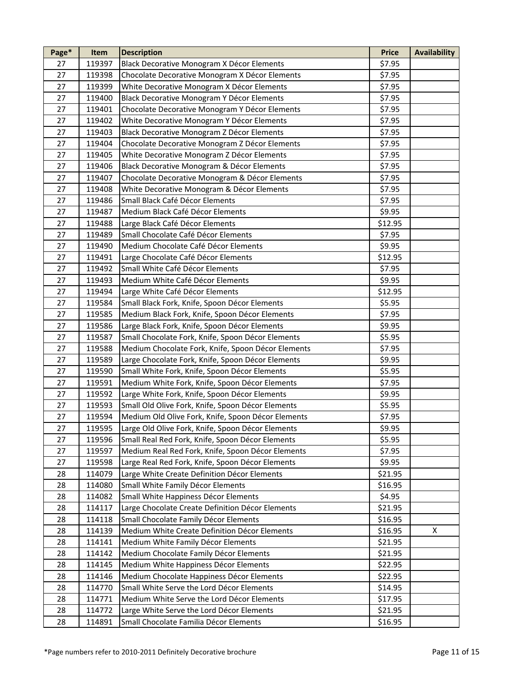| Page*    | Item             | <b>Description</b>                                                                                    | <b>Price</b>       | <b>Availability</b> |
|----------|------------------|-------------------------------------------------------------------------------------------------------|--------------------|---------------------|
| 27       | 119397           | Black Decorative Monogram X Décor Elements                                                            | \$7.95             |                     |
| 27       | 119398           | Chocolate Decorative Monogram X Décor Elements                                                        | \$7.95             |                     |
| 27       | 119399           | White Decorative Monogram X Décor Elements                                                            | \$7.95             |                     |
| 27       | 119400           | Black Decorative Monogram Y Décor Elements                                                            | \$7.95             |                     |
| 27       | 119401           | Chocolate Decorative Monogram Y Décor Elements                                                        | \$7.95             |                     |
| 27       | 119402           | White Decorative Monogram Y Décor Elements                                                            | \$7.95             |                     |
| 27       | 119403           | Black Decorative Monogram Z Décor Elements                                                            | \$7.95             |                     |
| 27       | 119404           | Chocolate Decorative Monogram Z Décor Elements                                                        | \$7.95             |                     |
| 27       | 119405           | White Decorative Monogram Z Décor Elements                                                            | \$7.95             |                     |
| 27       | 119406           | Black Decorative Monogram & Décor Elements                                                            | \$7.95             |                     |
| 27       | 119407           | Chocolate Decorative Monogram & Décor Elements                                                        | \$7.95             |                     |
| 27       | 119408           | White Decorative Monogram & Décor Elements                                                            | \$7.95             |                     |
| 27       | 119486           | Small Black Café Décor Elements                                                                       | \$7.95             |                     |
| 27       | 119487           | Medium Black Café Décor Elements                                                                      | \$9.95             |                     |
| 27       | 119488           | Large Black Café Décor Elements                                                                       | \$12.95            |                     |
| 27       | 119489           | Small Chocolate Café Décor Elements                                                                   | \$7.95             |                     |
| 27       | 119490           | Medium Chocolate Café Décor Elements                                                                  | \$9.95             |                     |
| 27       | 119491           | Large Chocolate Café Décor Elements                                                                   | \$12.95            |                     |
| 27       | 119492           | Small White Café Décor Elements                                                                       | \$7.95             |                     |
| 27       | 119493           | Medium White Café Décor Elements                                                                      | \$9.95             |                     |
| 27       | 119494           | Large White Café Décor Elements                                                                       | \$12.95            |                     |
| 27       | 119584           | Small Black Fork, Knife, Spoon Décor Elements                                                         | \$5.95             |                     |
| 27       | 119585           | Medium Black Fork, Knife, Spoon Décor Elements                                                        | \$7.95             |                     |
| 27       | 119586           | Large Black Fork, Knife, Spoon Décor Elements                                                         | \$9.95             |                     |
| 27       | 119587           | Small Chocolate Fork, Knife, Spoon Décor Elements                                                     | \$5.95             |                     |
| 27       | 119588           | Medium Chocolate Fork, Knife, Spoon Décor Elements                                                    | \$7.95             |                     |
| 27       |                  | Large Chocolate Fork, Knife, Spoon Décor Elements                                                     | \$9.95             |                     |
| 27       | 119589<br>119590 | Small White Fork, Knife, Spoon Décor Elements                                                         | \$5.95             |                     |
| 27       | 119591           | Medium White Fork, Knife, Spoon Décor Elements                                                        | \$7.95             |                     |
| 27       | 119592           | Large White Fork, Knife, Spoon Décor Elements                                                         | \$9.95             |                     |
| 27       | 119593           | Small Old Olive Fork, Knife, Spoon Décor Elements                                                     | \$5.95             |                     |
| 27       | 119594           | Medium Old Olive Fork, Knife, Spoon Décor Elements                                                    | \$7.95             |                     |
| 27       | 119595           |                                                                                                       | \$9.95             |                     |
| 27       | 119596           | Large Old Olive Fork, Knife, Spoon Décor Elements<br>Small Real Red Fork, Knife, Spoon Décor Elements | \$5.95             |                     |
| 27       | 119597           | Medium Real Red Fork, Knife, Spoon Décor Elements                                                     | \$7.95             |                     |
| 27       | 119598           |                                                                                                       | \$9.95             |                     |
| 28       |                  | Large Real Red Fork, Knife, Spoon Décor Elements<br>Large White Create Definition Décor Elements      |                    |                     |
| 28       | 114079<br>114080 |                                                                                                       | \$21.95<br>\$16.95 |                     |
| 28       |                  | Small White Family Décor Elements                                                                     |                    |                     |
|          | 114082           | Small White Happiness Décor Elements                                                                  | \$4.95             |                     |
| 28<br>28 | 114117           | Large Chocolate Create Definition Décor Elements                                                      | \$21.95            |                     |
|          | 114118           | Small Chocolate Family Décor Elements                                                                 | \$16.95            |                     |
| 28       | 114139           | Medium White Create Definition Décor Elements                                                         | \$16.95            | X                   |
| 28       | 114141           | Medium White Family Décor Elements                                                                    | \$21.95            |                     |
| 28       | 114142           | Medium Chocolate Family Décor Elements                                                                | \$21.95            |                     |
| 28       | 114145           | Medium White Happiness Décor Elements                                                                 | \$22.95            |                     |
| 28       | 114146           | Medium Chocolate Happiness Décor Elements                                                             | \$22.95            |                     |
| 28       | 114770           | Small White Serve the Lord Décor Elements                                                             | \$14.95            |                     |
| 28       | 114771           | Medium White Serve the Lord Décor Elements                                                            | \$17.95            |                     |
| 28       | 114772           | Large White Serve the Lord Décor Elements                                                             | \$21.95            |                     |
| 28       | 114891           | Small Chocolate Familia Décor Elements                                                                | \$16.95            |                     |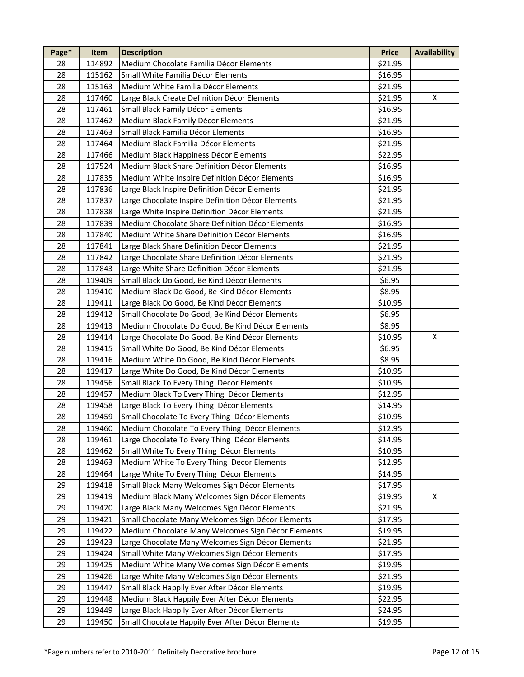| Page* | Item   | <b>Description</b>                                 | <b>Price</b> | <b>Availability</b> |
|-------|--------|----------------------------------------------------|--------------|---------------------|
| 28    | 114892 | Medium Chocolate Familia Décor Elements            | \$21.95      |                     |
| 28    | 115162 | Small White Familia Décor Elements                 | \$16.95      |                     |
| 28    | 115163 | Medium White Familia Décor Elements                | \$21.95      |                     |
| 28    | 117460 | Large Black Create Definition Décor Elements       | \$21.95      | X                   |
| 28    | 117461 | Small Black Family Décor Elements                  | \$16.95      |                     |
| 28    | 117462 | Medium Black Family Décor Elements                 | \$21.95      |                     |
| 28    | 117463 | Small Black Familia Décor Elements                 | \$16.95      |                     |
| 28    | 117464 | Medium Black Familia Décor Elements                | \$21.95      |                     |
| 28    | 117466 | Medium Black Happiness Décor Elements              | \$22.95      |                     |
| 28    | 117524 | Medium Black Share Definition Décor Elements       | \$16.95      |                     |
| 28    | 117835 | Medium White Inspire Definition Décor Elements     | \$16.95      |                     |
| 28    | 117836 | Large Black Inspire Definition Décor Elements      | \$21.95      |                     |
| 28    | 117837 | Large Chocolate Inspire Definition Décor Elements  | \$21.95      |                     |
| 28    | 117838 | Large White Inspire Definition Décor Elements      | \$21.95      |                     |
| 28    | 117839 | Medium Chocolate Share Definition Décor Elements   | \$16.95      |                     |
| 28    | 117840 | Medium White Share Definition Décor Elements       | \$16.95      |                     |
| 28    | 117841 | Large Black Share Definition Décor Elements        | \$21.95      |                     |
| 28    | 117842 | Large Chocolate Share Definition Décor Elements    | \$21.95      |                     |
| 28    | 117843 | Large White Share Definition Décor Elements        | \$21.95      |                     |
| 28    | 119409 | Small Black Do Good, Be Kind Décor Elements        | \$6.95       |                     |
| 28    | 119410 | Medium Black Do Good, Be Kind Décor Elements       | \$8.95       |                     |
| 28    | 119411 | Large Black Do Good, Be Kind Décor Elements        | \$10.95      |                     |
| 28    | 119412 | Small Chocolate Do Good, Be Kind Décor Elements    | \$6.95       |                     |
| 28    | 119413 | Medium Chocolate Do Good, Be Kind Décor Elements   | \$8.95       |                     |
| 28    | 119414 | Large Chocolate Do Good, Be Kind Décor Elements    | \$10.95      | X                   |
| 28    | 119415 | Small White Do Good, Be Kind Décor Elements        | \$6.95       |                     |
| 28    | 119416 | Medium White Do Good, Be Kind Décor Elements       | \$8.95       |                     |
| 28    | 119417 | Large White Do Good, Be Kind Décor Elements        | \$10.95      |                     |
| 28    | 119456 | Small Black To Every Thing Décor Elements          | \$10.95      |                     |
| 28    | 119457 | Medium Black To Every Thing Décor Elements         | \$12.95      |                     |
| 28    | 119458 | Large Black To Every Thing Décor Elements          | \$14.95      |                     |
| 28    | 119459 | Small Chocolate To Every Thing Décor Elements      | \$10.95      |                     |
| 28    | 119460 | Medium Chocolate To Every Thing Décor Elements     | \$12.95      |                     |
| 28    | 119461 | Large Chocolate To Every Thing Décor Elements      | \$14.95      |                     |
| 28    | 119462 | Small White To Every Thing Décor Elements          | \$10.95      |                     |
| 28    | 119463 | Medium White To Every Thing Décor Elements         | \$12.95      |                     |
| 28    | 119464 | Large White To Every Thing Décor Elements          | \$14.95      |                     |
| 29    | 119418 | Small Black Many Welcomes Sign Décor Elements      | \$17.95      |                     |
| 29    | 119419 | Medium Black Many Welcomes Sign Décor Elements     | \$19.95      | X                   |
| 29    | 119420 | Large Black Many Welcomes Sign Décor Elements      | \$21.95      |                     |
| 29    | 119421 | Small Chocolate Many Welcomes Sign Décor Elements  | \$17.95      |                     |
| 29    | 119422 | Medium Chocolate Many Welcomes Sign Décor Elements | \$19.95      |                     |
| 29    | 119423 | Large Chocolate Many Welcomes Sign Décor Elements  | \$21.95      |                     |
| 29    | 119424 | Small White Many Welcomes Sign Décor Elements      | \$17.95      |                     |
| 29    | 119425 | Medium White Many Welcomes Sign Décor Elements     | \$19.95      |                     |
| 29    | 119426 | Large White Many Welcomes Sign Décor Elements      | \$21.95      |                     |
| 29    | 119447 | Small Black Happily Ever After Décor Elements      | \$19.95      |                     |
| 29    | 119448 | Medium Black Happily Ever After Décor Elements     | \$22.95      |                     |
| 29    | 119449 | Large Black Happily Ever After Décor Elements      | \$24.95      |                     |
| 29    | 119450 | Small Chocolate Happily Ever After Décor Elements  | \$19.95      |                     |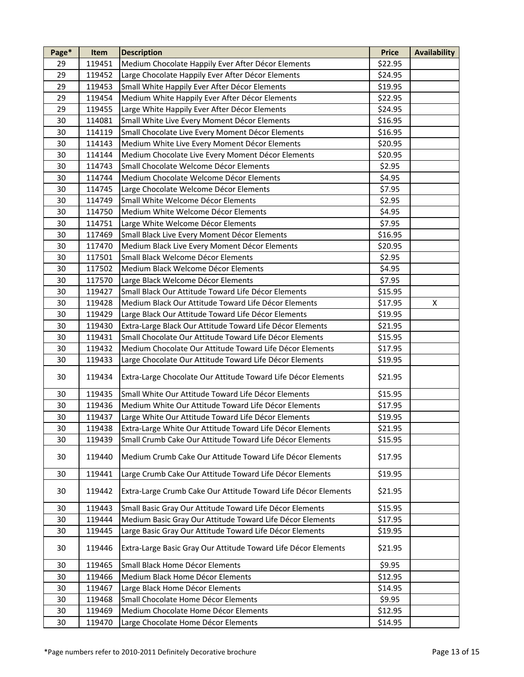| Page*  | Item   | <b>Description</b>                                             | <b>Price</b> | <b>Availability</b> |
|--------|--------|----------------------------------------------------------------|--------------|---------------------|
| 29     | 119451 | Medium Chocolate Happily Ever After Décor Elements             | \$22.95      |                     |
| 29     | 119452 | Large Chocolate Happily Ever After Décor Elements              | \$24.95      |                     |
| 29     | 119453 | Small White Happily Ever After Décor Elements                  | \$19.95      |                     |
| 29     | 119454 | Medium White Happily Ever After Décor Elements                 | \$22.95      |                     |
| 29     | 119455 | Large White Happily Ever After Décor Elements                  | \$24.95      |                     |
| 30     | 114081 | Small White Live Every Moment Décor Elements                   | \$16.95      |                     |
| 30     | 114119 | Small Chocolate Live Every Moment Décor Elements               | \$16.95      |                     |
| 30     | 114143 | Medium White Live Every Moment Décor Elements                  | \$20.95      |                     |
| 30     | 114144 | Medium Chocolate Live Every Moment Décor Elements              | \$20.95      |                     |
| 30     | 114743 | Small Chocolate Welcome Décor Elements                         | \$2.95       |                     |
| 30     | 114744 | Medium Chocolate Welcome Décor Elements                        | \$4.95       |                     |
| 30     | 114745 | Large Chocolate Welcome Décor Elements                         | \$7.95       |                     |
| 30     | 114749 | Small White Welcome Décor Elements                             | \$2.95       |                     |
| 30     | 114750 | Medium White Welcome Décor Elements                            | \$4.95       |                     |
| 30     | 114751 | Large White Welcome Décor Elements                             | \$7.95       |                     |
| 30     | 117469 | Small Black Live Every Moment Décor Elements                   | \$16.95      |                     |
| 30     | 117470 | Medium Black Live Every Moment Décor Elements                  | \$20.95      |                     |
| 30     | 117501 | Small Black Welcome Décor Elements                             | \$2.95       |                     |
| 30     | 117502 | Medium Black Welcome Décor Elements                            | \$4.95       |                     |
| 30     | 117570 | Large Black Welcome Décor Elements                             | \$7.95       |                     |
| 30     | 119427 | Small Black Our Attitude Toward Life Décor Elements            | \$15.95      |                     |
| 30     | 119428 | Medium Black Our Attitude Toward Life Décor Elements           | \$17.95      | X                   |
| 30     | 119429 | Large Black Our Attitude Toward Life Décor Elements            | \$19.95      |                     |
| 30     | 119430 | Extra-Large Black Our Attitude Toward Life Décor Elements      | \$21.95      |                     |
| 30     | 119431 | Small Chocolate Our Attitude Toward Life Décor Elements        | \$15.95      |                     |
| 30     | 119432 | Medium Chocolate Our Attitude Toward Life Décor Elements       | \$17.95      |                     |
| 30     |        |                                                                | \$19.95      |                     |
|        | 119433 | Large Chocolate Our Attitude Toward Life Décor Elements        |              |                     |
| 30     | 119434 | Extra-Large Chocolate Our Attitude Toward Life Décor Elements  | \$21.95      |                     |
| 30     | 119435 | Small White Our Attitude Toward Life Décor Elements            | \$15.95      |                     |
| 30     | 119436 | Medium White Our Attitude Toward Life Décor Elements           | \$17.95      |                     |
| 30     | 119437 | Large White Our Attitude Toward Life Décor Elements            | \$19.95      |                     |
| 30     | 119438 | Extra-Large White Our Attitude Toward Life Décor Elements      | \$21.95      |                     |
| 30     | 119439 | Small Crumb Cake Our Attitude Toward Life Décor Elements       | \$15.95      |                     |
| 30     | 119440 | Medium Crumb Cake Our Attitude Toward Life Décor Elements      | \$17.95      |                     |
| 30     | 119441 | Large Crumb Cake Our Attitude Toward Life Décor Elements       | \$19.95      |                     |
| 30     | 119442 | Extra-Large Crumb Cake Our Attitude Toward Life Décor Elements | \$21.95      |                     |
| 30     | 119443 | Small Basic Gray Our Attitude Toward Life Décor Elements       | \$15.95      |                     |
| 30     | 119444 | Medium Basic Gray Our Attitude Toward Life Décor Elements      | \$17.95      |                     |
| 30     | 119445 | Large Basic Gray Our Attitude Toward Life Décor Elements       | \$19.95      |                     |
| 30     | 119446 | Extra-Large Basic Gray Our Attitude Toward Life Décor Elements | \$21.95      |                     |
| 30     | 119465 | Small Black Home Décor Elements                                | \$9.95       |                     |
| 30     | 119466 | Medium Black Home Décor Elements                               | \$12.95      |                     |
| 30     | 119467 | Large Black Home Décor Elements                                | \$14.95      |                     |
| 30     | 119468 | Small Chocolate Home Décor Elements                            | \$9.95       |                     |
| 30     | 119469 | Medium Chocolate Home Décor Elements                           | \$12.95      |                     |
| $30\,$ | 119470 | Large Chocolate Home Décor Elements                            | \$14.95      |                     |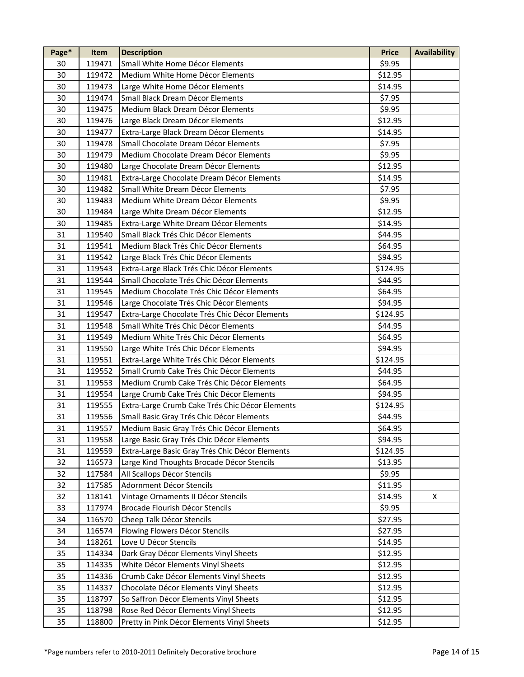| 119471<br>Small White Home Décor Elements<br>\$9.95<br>30<br>30<br>\$12.95<br>Medium White Home Décor Elements<br>119472<br>30<br>\$14.95<br>119473<br>Large White Home Décor Elements<br>30<br>Small Black Dream Décor Elements<br>\$7.95<br>119474<br>30<br>119475<br>Medium Black Dream Décor Elements<br>\$9.95<br>30<br>\$12.95<br>119476<br>Large Black Dream Décor Elements<br>\$14.95<br>30<br>119477<br>Extra-Large Black Dream Décor Elements<br>30<br>Small Chocolate Dream Décor Elements<br>\$7.95<br>119478<br>30<br>\$9.95<br>119479<br>Medium Chocolate Dream Décor Elements<br>30<br>119480<br>\$12.95<br>Large Chocolate Dream Décor Elements<br>30<br>119481<br>Extra-Large Chocolate Dream Décor Elements<br>\$14.95<br>30<br>\$7.95<br>119482<br>Small White Dream Décor Elements<br>30<br>\$9.95<br>119483<br>Medium White Dream Décor Elements<br>30<br>119484<br>Large White Dream Décor Elements<br>\$12.95<br>30<br>119485<br>Extra-Large White Dream Décor Elements<br>\$14.95<br>Small Black Trés Chic Décor Elements<br>31<br>\$44.95<br>119540<br>31<br>Medium Black Trés Chic Décor Elements<br>\$64.95<br>119541<br>31<br>119542<br>Large Black Trés Chic Décor Elements<br>\$94.95<br>31<br>119543<br>Extra-Large Black Trés Chic Décor Elements<br>\$124.95<br>31<br>Small Chocolate Trés Chic Décor Elements<br>\$44.95<br>119544<br>31<br>\$64.95<br>119545<br>Medium Chocolate Trés Chic Décor Elements<br>31<br>119546<br>Large Chocolate Trés Chic Décor Elements<br>\$94.95<br>31<br>\$124.95<br>119547<br>Extra-Large Chocolate Trés Chic Décor Elements<br>31<br>119548<br>Small White Trés Chic Décor Elements<br>\$44.95<br>\$64.95<br>31<br>119549<br>Medium White Trés Chic Décor Elements<br>31<br>Large White Trés Chic Décor Elements<br>119550<br>\$94.95<br>31<br>119551<br>Extra-Large White Trés Chic Décor Elements<br>\$124.95<br>31<br>119552<br>Small Crumb Cake Trés Chic Décor Elements<br>\$44.95<br>31<br>119553<br>Medium Crumb Cake Trés Chic Décor Elements<br>\$64.95<br>31<br>\$94.95<br>119554<br>Large Crumb Cake Trés Chic Décor Elements<br>31<br>\$124.95<br>119555<br>Extra-Large Crumb Cake Trés Chic Décor Elements<br>31<br>119556<br>Small Basic Gray Trés Chic Décor Elements<br>\$44.95<br>31<br>\$64.95<br>119557<br>Medium Basic Gray Trés Chic Décor Elements<br>31<br>Large Basic Gray Trés Chic Décor Elements<br>119558<br>\$94.95<br>Extra-Large Basic Gray Trés Chic Décor Elements<br>\$124.95<br>31<br>119559<br>Large Kind Thoughts Brocade Décor Stencils<br>32<br>116573<br>\$13.95<br>32<br>117584<br>All Scallops Décor Stencils<br>\$9.95<br>32<br>Adornment Décor Stencils<br>\$11.95<br>117585<br>32<br>X<br>118141<br>Vintage Ornaments II Décor Stencils<br>\$14.95<br>Brocade Flourish Décor Stencils<br>\$9.95<br>33<br>117974<br>34<br>116570<br>Cheep Talk Décor Stencils<br>\$27.95<br>Flowing Flowers Décor Stencils<br>34<br>116574<br>\$27.95<br>Love U Décor Stencils<br>34<br>118261<br>\$14.95<br>Dark Gray Décor Elements Vinyl Sheets<br>35<br>114334<br>\$12.95<br>White Décor Elements Vinyl Sheets<br>35<br>114335<br>\$12.95<br>114336<br>35<br>Crumb Cake Décor Elements Vinyl Sheets<br>\$12.95<br>Chocolate Décor Elements Vinyl Sheets<br>35<br>114337<br>\$12.95<br>So Saffron Décor Elements Vinyl Sheets<br>35<br>118797<br>\$12.95<br>Rose Red Décor Elements Vinyl Sheets<br>\$12.95<br>35<br>118798<br>35<br>118800<br>Pretty in Pink Décor Elements Vinyl Sheets<br>\$12.95 | Page* | Item | <b>Description</b> | <b>Price</b> | <b>Availability</b> |
|-----------------------------------------------------------------------------------------------------------------------------------------------------------------------------------------------------------------------------------------------------------------------------------------------------------------------------------------------------------------------------------------------------------------------------------------------------------------------------------------------------------------------------------------------------------------------------------------------------------------------------------------------------------------------------------------------------------------------------------------------------------------------------------------------------------------------------------------------------------------------------------------------------------------------------------------------------------------------------------------------------------------------------------------------------------------------------------------------------------------------------------------------------------------------------------------------------------------------------------------------------------------------------------------------------------------------------------------------------------------------------------------------------------------------------------------------------------------------------------------------------------------------------------------------------------------------------------------------------------------------------------------------------------------------------------------------------------------------------------------------------------------------------------------------------------------------------------------------------------------------------------------------------------------------------------------------------------------------------------------------------------------------------------------------------------------------------------------------------------------------------------------------------------------------------------------------------------------------------------------------------------------------------------------------------------------------------------------------------------------------------------------------------------------------------------------------------------------------------------------------------------------------------------------------------------------------------------------------------------------------------------------------------------------------------------------------------------------------------------------------------------------------------------------------------------------------------------------------------------------------------------------------------------------------------------------------------------------------------------------------------------------------------------------------------------------------------------------------------------------------------------------------------------------------------------------------------------------------------------------------------------------------------------------------------------------------------------------------------------------------------------------------------------------------------------------------------------------------------------------------------------|-------|------|--------------------|--------------|---------------------|
|                                                                                                                                                                                                                                                                                                                                                                                                                                                                                                                                                                                                                                                                                                                                                                                                                                                                                                                                                                                                                                                                                                                                                                                                                                                                                                                                                                                                                                                                                                                                                                                                                                                                                                                                                                                                                                                                                                                                                                                                                                                                                                                                                                                                                                                                                                                                                                                                                                                                                                                                                                                                                                                                                                                                                                                                                                                                                                                                                                                                                                                                                                                                                                                                                                                                                                                                                                                                                                                                                                           |       |      |                    |              |                     |
|                                                                                                                                                                                                                                                                                                                                                                                                                                                                                                                                                                                                                                                                                                                                                                                                                                                                                                                                                                                                                                                                                                                                                                                                                                                                                                                                                                                                                                                                                                                                                                                                                                                                                                                                                                                                                                                                                                                                                                                                                                                                                                                                                                                                                                                                                                                                                                                                                                                                                                                                                                                                                                                                                                                                                                                                                                                                                                                                                                                                                                                                                                                                                                                                                                                                                                                                                                                                                                                                                                           |       |      |                    |              |                     |
|                                                                                                                                                                                                                                                                                                                                                                                                                                                                                                                                                                                                                                                                                                                                                                                                                                                                                                                                                                                                                                                                                                                                                                                                                                                                                                                                                                                                                                                                                                                                                                                                                                                                                                                                                                                                                                                                                                                                                                                                                                                                                                                                                                                                                                                                                                                                                                                                                                                                                                                                                                                                                                                                                                                                                                                                                                                                                                                                                                                                                                                                                                                                                                                                                                                                                                                                                                                                                                                                                                           |       |      |                    |              |                     |
|                                                                                                                                                                                                                                                                                                                                                                                                                                                                                                                                                                                                                                                                                                                                                                                                                                                                                                                                                                                                                                                                                                                                                                                                                                                                                                                                                                                                                                                                                                                                                                                                                                                                                                                                                                                                                                                                                                                                                                                                                                                                                                                                                                                                                                                                                                                                                                                                                                                                                                                                                                                                                                                                                                                                                                                                                                                                                                                                                                                                                                                                                                                                                                                                                                                                                                                                                                                                                                                                                                           |       |      |                    |              |                     |
|                                                                                                                                                                                                                                                                                                                                                                                                                                                                                                                                                                                                                                                                                                                                                                                                                                                                                                                                                                                                                                                                                                                                                                                                                                                                                                                                                                                                                                                                                                                                                                                                                                                                                                                                                                                                                                                                                                                                                                                                                                                                                                                                                                                                                                                                                                                                                                                                                                                                                                                                                                                                                                                                                                                                                                                                                                                                                                                                                                                                                                                                                                                                                                                                                                                                                                                                                                                                                                                                                                           |       |      |                    |              |                     |
|                                                                                                                                                                                                                                                                                                                                                                                                                                                                                                                                                                                                                                                                                                                                                                                                                                                                                                                                                                                                                                                                                                                                                                                                                                                                                                                                                                                                                                                                                                                                                                                                                                                                                                                                                                                                                                                                                                                                                                                                                                                                                                                                                                                                                                                                                                                                                                                                                                                                                                                                                                                                                                                                                                                                                                                                                                                                                                                                                                                                                                                                                                                                                                                                                                                                                                                                                                                                                                                                                                           |       |      |                    |              |                     |
|                                                                                                                                                                                                                                                                                                                                                                                                                                                                                                                                                                                                                                                                                                                                                                                                                                                                                                                                                                                                                                                                                                                                                                                                                                                                                                                                                                                                                                                                                                                                                                                                                                                                                                                                                                                                                                                                                                                                                                                                                                                                                                                                                                                                                                                                                                                                                                                                                                                                                                                                                                                                                                                                                                                                                                                                                                                                                                                                                                                                                                                                                                                                                                                                                                                                                                                                                                                                                                                                                                           |       |      |                    |              |                     |
|                                                                                                                                                                                                                                                                                                                                                                                                                                                                                                                                                                                                                                                                                                                                                                                                                                                                                                                                                                                                                                                                                                                                                                                                                                                                                                                                                                                                                                                                                                                                                                                                                                                                                                                                                                                                                                                                                                                                                                                                                                                                                                                                                                                                                                                                                                                                                                                                                                                                                                                                                                                                                                                                                                                                                                                                                                                                                                                                                                                                                                                                                                                                                                                                                                                                                                                                                                                                                                                                                                           |       |      |                    |              |                     |
|                                                                                                                                                                                                                                                                                                                                                                                                                                                                                                                                                                                                                                                                                                                                                                                                                                                                                                                                                                                                                                                                                                                                                                                                                                                                                                                                                                                                                                                                                                                                                                                                                                                                                                                                                                                                                                                                                                                                                                                                                                                                                                                                                                                                                                                                                                                                                                                                                                                                                                                                                                                                                                                                                                                                                                                                                                                                                                                                                                                                                                                                                                                                                                                                                                                                                                                                                                                                                                                                                                           |       |      |                    |              |                     |
|                                                                                                                                                                                                                                                                                                                                                                                                                                                                                                                                                                                                                                                                                                                                                                                                                                                                                                                                                                                                                                                                                                                                                                                                                                                                                                                                                                                                                                                                                                                                                                                                                                                                                                                                                                                                                                                                                                                                                                                                                                                                                                                                                                                                                                                                                                                                                                                                                                                                                                                                                                                                                                                                                                                                                                                                                                                                                                                                                                                                                                                                                                                                                                                                                                                                                                                                                                                                                                                                                                           |       |      |                    |              |                     |
|                                                                                                                                                                                                                                                                                                                                                                                                                                                                                                                                                                                                                                                                                                                                                                                                                                                                                                                                                                                                                                                                                                                                                                                                                                                                                                                                                                                                                                                                                                                                                                                                                                                                                                                                                                                                                                                                                                                                                                                                                                                                                                                                                                                                                                                                                                                                                                                                                                                                                                                                                                                                                                                                                                                                                                                                                                                                                                                                                                                                                                                                                                                                                                                                                                                                                                                                                                                                                                                                                                           |       |      |                    |              |                     |
|                                                                                                                                                                                                                                                                                                                                                                                                                                                                                                                                                                                                                                                                                                                                                                                                                                                                                                                                                                                                                                                                                                                                                                                                                                                                                                                                                                                                                                                                                                                                                                                                                                                                                                                                                                                                                                                                                                                                                                                                                                                                                                                                                                                                                                                                                                                                                                                                                                                                                                                                                                                                                                                                                                                                                                                                                                                                                                                                                                                                                                                                                                                                                                                                                                                                                                                                                                                                                                                                                                           |       |      |                    |              |                     |
|                                                                                                                                                                                                                                                                                                                                                                                                                                                                                                                                                                                                                                                                                                                                                                                                                                                                                                                                                                                                                                                                                                                                                                                                                                                                                                                                                                                                                                                                                                                                                                                                                                                                                                                                                                                                                                                                                                                                                                                                                                                                                                                                                                                                                                                                                                                                                                                                                                                                                                                                                                                                                                                                                                                                                                                                                                                                                                                                                                                                                                                                                                                                                                                                                                                                                                                                                                                                                                                                                                           |       |      |                    |              |                     |
|                                                                                                                                                                                                                                                                                                                                                                                                                                                                                                                                                                                                                                                                                                                                                                                                                                                                                                                                                                                                                                                                                                                                                                                                                                                                                                                                                                                                                                                                                                                                                                                                                                                                                                                                                                                                                                                                                                                                                                                                                                                                                                                                                                                                                                                                                                                                                                                                                                                                                                                                                                                                                                                                                                                                                                                                                                                                                                                                                                                                                                                                                                                                                                                                                                                                                                                                                                                                                                                                                                           |       |      |                    |              |                     |
|                                                                                                                                                                                                                                                                                                                                                                                                                                                                                                                                                                                                                                                                                                                                                                                                                                                                                                                                                                                                                                                                                                                                                                                                                                                                                                                                                                                                                                                                                                                                                                                                                                                                                                                                                                                                                                                                                                                                                                                                                                                                                                                                                                                                                                                                                                                                                                                                                                                                                                                                                                                                                                                                                                                                                                                                                                                                                                                                                                                                                                                                                                                                                                                                                                                                                                                                                                                                                                                                                                           |       |      |                    |              |                     |
|                                                                                                                                                                                                                                                                                                                                                                                                                                                                                                                                                                                                                                                                                                                                                                                                                                                                                                                                                                                                                                                                                                                                                                                                                                                                                                                                                                                                                                                                                                                                                                                                                                                                                                                                                                                                                                                                                                                                                                                                                                                                                                                                                                                                                                                                                                                                                                                                                                                                                                                                                                                                                                                                                                                                                                                                                                                                                                                                                                                                                                                                                                                                                                                                                                                                                                                                                                                                                                                                                                           |       |      |                    |              |                     |
|                                                                                                                                                                                                                                                                                                                                                                                                                                                                                                                                                                                                                                                                                                                                                                                                                                                                                                                                                                                                                                                                                                                                                                                                                                                                                                                                                                                                                                                                                                                                                                                                                                                                                                                                                                                                                                                                                                                                                                                                                                                                                                                                                                                                                                                                                                                                                                                                                                                                                                                                                                                                                                                                                                                                                                                                                                                                                                                                                                                                                                                                                                                                                                                                                                                                                                                                                                                                                                                                                                           |       |      |                    |              |                     |
|                                                                                                                                                                                                                                                                                                                                                                                                                                                                                                                                                                                                                                                                                                                                                                                                                                                                                                                                                                                                                                                                                                                                                                                                                                                                                                                                                                                                                                                                                                                                                                                                                                                                                                                                                                                                                                                                                                                                                                                                                                                                                                                                                                                                                                                                                                                                                                                                                                                                                                                                                                                                                                                                                                                                                                                                                                                                                                                                                                                                                                                                                                                                                                                                                                                                                                                                                                                                                                                                                                           |       |      |                    |              |                     |
|                                                                                                                                                                                                                                                                                                                                                                                                                                                                                                                                                                                                                                                                                                                                                                                                                                                                                                                                                                                                                                                                                                                                                                                                                                                                                                                                                                                                                                                                                                                                                                                                                                                                                                                                                                                                                                                                                                                                                                                                                                                                                                                                                                                                                                                                                                                                                                                                                                                                                                                                                                                                                                                                                                                                                                                                                                                                                                                                                                                                                                                                                                                                                                                                                                                                                                                                                                                                                                                                                                           |       |      |                    |              |                     |
|                                                                                                                                                                                                                                                                                                                                                                                                                                                                                                                                                                                                                                                                                                                                                                                                                                                                                                                                                                                                                                                                                                                                                                                                                                                                                                                                                                                                                                                                                                                                                                                                                                                                                                                                                                                                                                                                                                                                                                                                                                                                                                                                                                                                                                                                                                                                                                                                                                                                                                                                                                                                                                                                                                                                                                                                                                                                                                                                                                                                                                                                                                                                                                                                                                                                                                                                                                                                                                                                                                           |       |      |                    |              |                     |
|                                                                                                                                                                                                                                                                                                                                                                                                                                                                                                                                                                                                                                                                                                                                                                                                                                                                                                                                                                                                                                                                                                                                                                                                                                                                                                                                                                                                                                                                                                                                                                                                                                                                                                                                                                                                                                                                                                                                                                                                                                                                                                                                                                                                                                                                                                                                                                                                                                                                                                                                                                                                                                                                                                                                                                                                                                                                                                                                                                                                                                                                                                                                                                                                                                                                                                                                                                                                                                                                                                           |       |      |                    |              |                     |
|                                                                                                                                                                                                                                                                                                                                                                                                                                                                                                                                                                                                                                                                                                                                                                                                                                                                                                                                                                                                                                                                                                                                                                                                                                                                                                                                                                                                                                                                                                                                                                                                                                                                                                                                                                                                                                                                                                                                                                                                                                                                                                                                                                                                                                                                                                                                                                                                                                                                                                                                                                                                                                                                                                                                                                                                                                                                                                                                                                                                                                                                                                                                                                                                                                                                                                                                                                                                                                                                                                           |       |      |                    |              |                     |
|                                                                                                                                                                                                                                                                                                                                                                                                                                                                                                                                                                                                                                                                                                                                                                                                                                                                                                                                                                                                                                                                                                                                                                                                                                                                                                                                                                                                                                                                                                                                                                                                                                                                                                                                                                                                                                                                                                                                                                                                                                                                                                                                                                                                                                                                                                                                                                                                                                                                                                                                                                                                                                                                                                                                                                                                                                                                                                                                                                                                                                                                                                                                                                                                                                                                                                                                                                                                                                                                                                           |       |      |                    |              |                     |
|                                                                                                                                                                                                                                                                                                                                                                                                                                                                                                                                                                                                                                                                                                                                                                                                                                                                                                                                                                                                                                                                                                                                                                                                                                                                                                                                                                                                                                                                                                                                                                                                                                                                                                                                                                                                                                                                                                                                                                                                                                                                                                                                                                                                                                                                                                                                                                                                                                                                                                                                                                                                                                                                                                                                                                                                                                                                                                                                                                                                                                                                                                                                                                                                                                                                                                                                                                                                                                                                                                           |       |      |                    |              |                     |
|                                                                                                                                                                                                                                                                                                                                                                                                                                                                                                                                                                                                                                                                                                                                                                                                                                                                                                                                                                                                                                                                                                                                                                                                                                                                                                                                                                                                                                                                                                                                                                                                                                                                                                                                                                                                                                                                                                                                                                                                                                                                                                                                                                                                                                                                                                                                                                                                                                                                                                                                                                                                                                                                                                                                                                                                                                                                                                                                                                                                                                                                                                                                                                                                                                                                                                                                                                                                                                                                                                           |       |      |                    |              |                     |
|                                                                                                                                                                                                                                                                                                                                                                                                                                                                                                                                                                                                                                                                                                                                                                                                                                                                                                                                                                                                                                                                                                                                                                                                                                                                                                                                                                                                                                                                                                                                                                                                                                                                                                                                                                                                                                                                                                                                                                                                                                                                                                                                                                                                                                                                                                                                                                                                                                                                                                                                                                                                                                                                                                                                                                                                                                                                                                                                                                                                                                                                                                                                                                                                                                                                                                                                                                                                                                                                                                           |       |      |                    |              |                     |
|                                                                                                                                                                                                                                                                                                                                                                                                                                                                                                                                                                                                                                                                                                                                                                                                                                                                                                                                                                                                                                                                                                                                                                                                                                                                                                                                                                                                                                                                                                                                                                                                                                                                                                                                                                                                                                                                                                                                                                                                                                                                                                                                                                                                                                                                                                                                                                                                                                                                                                                                                                                                                                                                                                                                                                                                                                                                                                                                                                                                                                                                                                                                                                                                                                                                                                                                                                                                                                                                                                           |       |      |                    |              |                     |
|                                                                                                                                                                                                                                                                                                                                                                                                                                                                                                                                                                                                                                                                                                                                                                                                                                                                                                                                                                                                                                                                                                                                                                                                                                                                                                                                                                                                                                                                                                                                                                                                                                                                                                                                                                                                                                                                                                                                                                                                                                                                                                                                                                                                                                                                                                                                                                                                                                                                                                                                                                                                                                                                                                                                                                                                                                                                                                                                                                                                                                                                                                                                                                                                                                                                                                                                                                                                                                                                                                           |       |      |                    |              |                     |
|                                                                                                                                                                                                                                                                                                                                                                                                                                                                                                                                                                                                                                                                                                                                                                                                                                                                                                                                                                                                                                                                                                                                                                                                                                                                                                                                                                                                                                                                                                                                                                                                                                                                                                                                                                                                                                                                                                                                                                                                                                                                                                                                                                                                                                                                                                                                                                                                                                                                                                                                                                                                                                                                                                                                                                                                                                                                                                                                                                                                                                                                                                                                                                                                                                                                                                                                                                                                                                                                                                           |       |      |                    |              |                     |
|                                                                                                                                                                                                                                                                                                                                                                                                                                                                                                                                                                                                                                                                                                                                                                                                                                                                                                                                                                                                                                                                                                                                                                                                                                                                                                                                                                                                                                                                                                                                                                                                                                                                                                                                                                                                                                                                                                                                                                                                                                                                                                                                                                                                                                                                                                                                                                                                                                                                                                                                                                                                                                                                                                                                                                                                                                                                                                                                                                                                                                                                                                                                                                                                                                                                                                                                                                                                                                                                                                           |       |      |                    |              |                     |
|                                                                                                                                                                                                                                                                                                                                                                                                                                                                                                                                                                                                                                                                                                                                                                                                                                                                                                                                                                                                                                                                                                                                                                                                                                                                                                                                                                                                                                                                                                                                                                                                                                                                                                                                                                                                                                                                                                                                                                                                                                                                                                                                                                                                                                                                                                                                                                                                                                                                                                                                                                                                                                                                                                                                                                                                                                                                                                                                                                                                                                                                                                                                                                                                                                                                                                                                                                                                                                                                                                           |       |      |                    |              |                     |
|                                                                                                                                                                                                                                                                                                                                                                                                                                                                                                                                                                                                                                                                                                                                                                                                                                                                                                                                                                                                                                                                                                                                                                                                                                                                                                                                                                                                                                                                                                                                                                                                                                                                                                                                                                                                                                                                                                                                                                                                                                                                                                                                                                                                                                                                                                                                                                                                                                                                                                                                                                                                                                                                                                                                                                                                                                                                                                                                                                                                                                                                                                                                                                                                                                                                                                                                                                                                                                                                                                           |       |      |                    |              |                     |
|                                                                                                                                                                                                                                                                                                                                                                                                                                                                                                                                                                                                                                                                                                                                                                                                                                                                                                                                                                                                                                                                                                                                                                                                                                                                                                                                                                                                                                                                                                                                                                                                                                                                                                                                                                                                                                                                                                                                                                                                                                                                                                                                                                                                                                                                                                                                                                                                                                                                                                                                                                                                                                                                                                                                                                                                                                                                                                                                                                                                                                                                                                                                                                                                                                                                                                                                                                                                                                                                                                           |       |      |                    |              |                     |
|                                                                                                                                                                                                                                                                                                                                                                                                                                                                                                                                                                                                                                                                                                                                                                                                                                                                                                                                                                                                                                                                                                                                                                                                                                                                                                                                                                                                                                                                                                                                                                                                                                                                                                                                                                                                                                                                                                                                                                                                                                                                                                                                                                                                                                                                                                                                                                                                                                                                                                                                                                                                                                                                                                                                                                                                                                                                                                                                                                                                                                                                                                                                                                                                                                                                                                                                                                                                                                                                                                           |       |      |                    |              |                     |
|                                                                                                                                                                                                                                                                                                                                                                                                                                                                                                                                                                                                                                                                                                                                                                                                                                                                                                                                                                                                                                                                                                                                                                                                                                                                                                                                                                                                                                                                                                                                                                                                                                                                                                                                                                                                                                                                                                                                                                                                                                                                                                                                                                                                                                                                                                                                                                                                                                                                                                                                                                                                                                                                                                                                                                                                                                                                                                                                                                                                                                                                                                                                                                                                                                                                                                                                                                                                                                                                                                           |       |      |                    |              |                     |
|                                                                                                                                                                                                                                                                                                                                                                                                                                                                                                                                                                                                                                                                                                                                                                                                                                                                                                                                                                                                                                                                                                                                                                                                                                                                                                                                                                                                                                                                                                                                                                                                                                                                                                                                                                                                                                                                                                                                                                                                                                                                                                                                                                                                                                                                                                                                                                                                                                                                                                                                                                                                                                                                                                                                                                                                                                                                                                                                                                                                                                                                                                                                                                                                                                                                                                                                                                                                                                                                                                           |       |      |                    |              |                     |
|                                                                                                                                                                                                                                                                                                                                                                                                                                                                                                                                                                                                                                                                                                                                                                                                                                                                                                                                                                                                                                                                                                                                                                                                                                                                                                                                                                                                                                                                                                                                                                                                                                                                                                                                                                                                                                                                                                                                                                                                                                                                                                                                                                                                                                                                                                                                                                                                                                                                                                                                                                                                                                                                                                                                                                                                                                                                                                                                                                                                                                                                                                                                                                                                                                                                                                                                                                                                                                                                                                           |       |      |                    |              |                     |
|                                                                                                                                                                                                                                                                                                                                                                                                                                                                                                                                                                                                                                                                                                                                                                                                                                                                                                                                                                                                                                                                                                                                                                                                                                                                                                                                                                                                                                                                                                                                                                                                                                                                                                                                                                                                                                                                                                                                                                                                                                                                                                                                                                                                                                                                                                                                                                                                                                                                                                                                                                                                                                                                                                                                                                                                                                                                                                                                                                                                                                                                                                                                                                                                                                                                                                                                                                                                                                                                                                           |       |      |                    |              |                     |
|                                                                                                                                                                                                                                                                                                                                                                                                                                                                                                                                                                                                                                                                                                                                                                                                                                                                                                                                                                                                                                                                                                                                                                                                                                                                                                                                                                                                                                                                                                                                                                                                                                                                                                                                                                                                                                                                                                                                                                                                                                                                                                                                                                                                                                                                                                                                                                                                                                                                                                                                                                                                                                                                                                                                                                                                                                                                                                                                                                                                                                                                                                                                                                                                                                                                                                                                                                                                                                                                                                           |       |      |                    |              |                     |
|                                                                                                                                                                                                                                                                                                                                                                                                                                                                                                                                                                                                                                                                                                                                                                                                                                                                                                                                                                                                                                                                                                                                                                                                                                                                                                                                                                                                                                                                                                                                                                                                                                                                                                                                                                                                                                                                                                                                                                                                                                                                                                                                                                                                                                                                                                                                                                                                                                                                                                                                                                                                                                                                                                                                                                                                                                                                                                                                                                                                                                                                                                                                                                                                                                                                                                                                                                                                                                                                                                           |       |      |                    |              |                     |
|                                                                                                                                                                                                                                                                                                                                                                                                                                                                                                                                                                                                                                                                                                                                                                                                                                                                                                                                                                                                                                                                                                                                                                                                                                                                                                                                                                                                                                                                                                                                                                                                                                                                                                                                                                                                                                                                                                                                                                                                                                                                                                                                                                                                                                                                                                                                                                                                                                                                                                                                                                                                                                                                                                                                                                                                                                                                                                                                                                                                                                                                                                                                                                                                                                                                                                                                                                                                                                                                                                           |       |      |                    |              |                     |
|                                                                                                                                                                                                                                                                                                                                                                                                                                                                                                                                                                                                                                                                                                                                                                                                                                                                                                                                                                                                                                                                                                                                                                                                                                                                                                                                                                                                                                                                                                                                                                                                                                                                                                                                                                                                                                                                                                                                                                                                                                                                                                                                                                                                                                                                                                                                                                                                                                                                                                                                                                                                                                                                                                                                                                                                                                                                                                                                                                                                                                                                                                                                                                                                                                                                                                                                                                                                                                                                                                           |       |      |                    |              |                     |
|                                                                                                                                                                                                                                                                                                                                                                                                                                                                                                                                                                                                                                                                                                                                                                                                                                                                                                                                                                                                                                                                                                                                                                                                                                                                                                                                                                                                                                                                                                                                                                                                                                                                                                                                                                                                                                                                                                                                                                                                                                                                                                                                                                                                                                                                                                                                                                                                                                                                                                                                                                                                                                                                                                                                                                                                                                                                                                                                                                                                                                                                                                                                                                                                                                                                                                                                                                                                                                                                                                           |       |      |                    |              |                     |
|                                                                                                                                                                                                                                                                                                                                                                                                                                                                                                                                                                                                                                                                                                                                                                                                                                                                                                                                                                                                                                                                                                                                                                                                                                                                                                                                                                                                                                                                                                                                                                                                                                                                                                                                                                                                                                                                                                                                                                                                                                                                                                                                                                                                                                                                                                                                                                                                                                                                                                                                                                                                                                                                                                                                                                                                                                                                                                                                                                                                                                                                                                                                                                                                                                                                                                                                                                                                                                                                                                           |       |      |                    |              |                     |
|                                                                                                                                                                                                                                                                                                                                                                                                                                                                                                                                                                                                                                                                                                                                                                                                                                                                                                                                                                                                                                                                                                                                                                                                                                                                                                                                                                                                                                                                                                                                                                                                                                                                                                                                                                                                                                                                                                                                                                                                                                                                                                                                                                                                                                                                                                                                                                                                                                                                                                                                                                                                                                                                                                                                                                                                                                                                                                                                                                                                                                                                                                                                                                                                                                                                                                                                                                                                                                                                                                           |       |      |                    |              |                     |
|                                                                                                                                                                                                                                                                                                                                                                                                                                                                                                                                                                                                                                                                                                                                                                                                                                                                                                                                                                                                                                                                                                                                                                                                                                                                                                                                                                                                                                                                                                                                                                                                                                                                                                                                                                                                                                                                                                                                                                                                                                                                                                                                                                                                                                                                                                                                                                                                                                                                                                                                                                                                                                                                                                                                                                                                                                                                                                                                                                                                                                                                                                                                                                                                                                                                                                                                                                                                                                                                                                           |       |      |                    |              |                     |
|                                                                                                                                                                                                                                                                                                                                                                                                                                                                                                                                                                                                                                                                                                                                                                                                                                                                                                                                                                                                                                                                                                                                                                                                                                                                                                                                                                                                                                                                                                                                                                                                                                                                                                                                                                                                                                                                                                                                                                                                                                                                                                                                                                                                                                                                                                                                                                                                                                                                                                                                                                                                                                                                                                                                                                                                                                                                                                                                                                                                                                                                                                                                                                                                                                                                                                                                                                                                                                                                                                           |       |      |                    |              |                     |
|                                                                                                                                                                                                                                                                                                                                                                                                                                                                                                                                                                                                                                                                                                                                                                                                                                                                                                                                                                                                                                                                                                                                                                                                                                                                                                                                                                                                                                                                                                                                                                                                                                                                                                                                                                                                                                                                                                                                                                                                                                                                                                                                                                                                                                                                                                                                                                                                                                                                                                                                                                                                                                                                                                                                                                                                                                                                                                                                                                                                                                                                                                                                                                                                                                                                                                                                                                                                                                                                                                           |       |      |                    |              |                     |
|                                                                                                                                                                                                                                                                                                                                                                                                                                                                                                                                                                                                                                                                                                                                                                                                                                                                                                                                                                                                                                                                                                                                                                                                                                                                                                                                                                                                                                                                                                                                                                                                                                                                                                                                                                                                                                                                                                                                                                                                                                                                                                                                                                                                                                                                                                                                                                                                                                                                                                                                                                                                                                                                                                                                                                                                                                                                                                                                                                                                                                                                                                                                                                                                                                                                                                                                                                                                                                                                                                           |       |      |                    |              |                     |
|                                                                                                                                                                                                                                                                                                                                                                                                                                                                                                                                                                                                                                                                                                                                                                                                                                                                                                                                                                                                                                                                                                                                                                                                                                                                                                                                                                                                                                                                                                                                                                                                                                                                                                                                                                                                                                                                                                                                                                                                                                                                                                                                                                                                                                                                                                                                                                                                                                                                                                                                                                                                                                                                                                                                                                                                                                                                                                                                                                                                                                                                                                                                                                                                                                                                                                                                                                                                                                                                                                           |       |      |                    |              |                     |